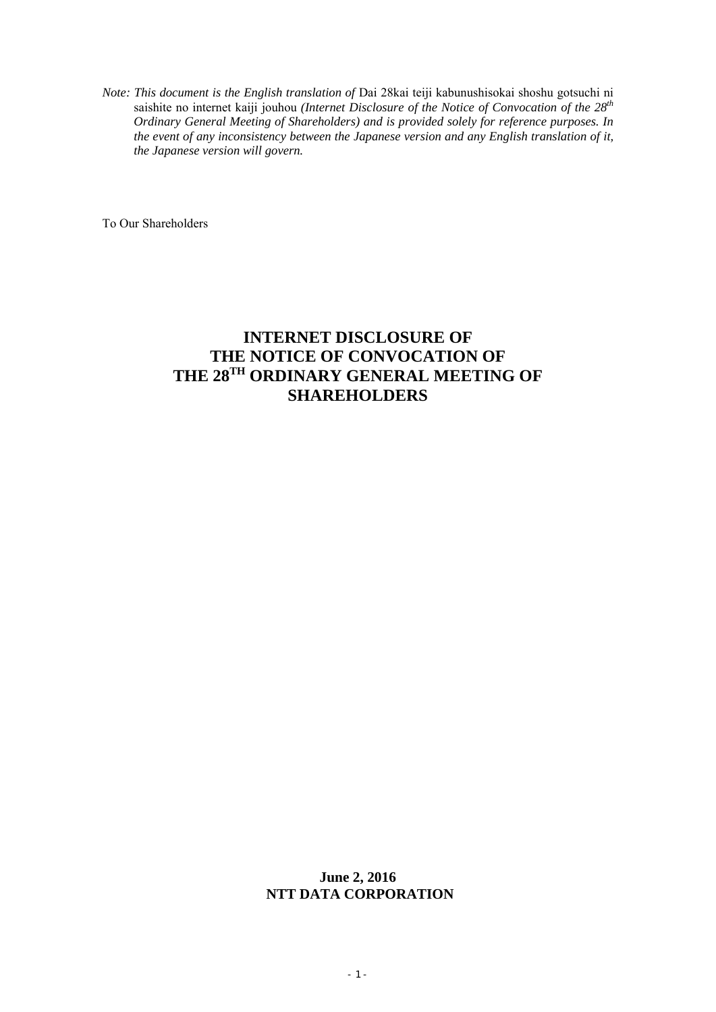*Note: This document is the English translation of* Dai 28kai teiji kabunushisokai shoshu gotsuchi ni saishite no internet kaiji jouhou *(Internet Disclosure of the Notice of Convocation of the 28th Ordinary General Meeting of Shareholders) and is provided solely for reference purposes. In the event of any inconsistency between the Japanese version and any English translation of it, the Japanese version will govern.* 

To Our Shareholders

# **INTERNET DISCLOSURE OF THE NOTICE OF CONVOCATION OF THE 28TH ORDINARY GENERAL MEETING OF SHAREHOLDERS**

# **June 2, 2016 NTT DATA CORPORATION**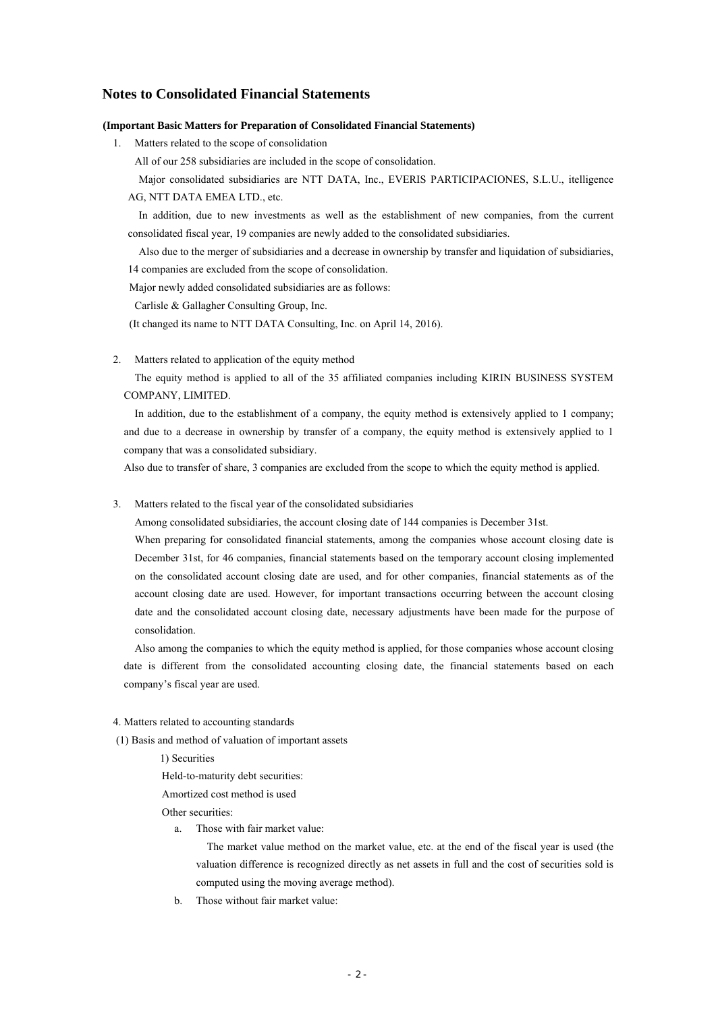# **Notes to Consolidated Financial Statements**

#### **(Important Basic Matters for Preparation of Consolidated Financial Statements)**

1. Matters related to the scope of consolidation

All of our 258 subsidiaries are included in the scope of consolidation.

Major consolidated subsidiaries are NTT DATA, Inc., EVERIS PARTICIPACIONES, S.L.U., itelligence AG, NTT DATA EMEA LTD., etc.

 In addition, due to new investments as well as the establishment of new companies, from the current consolidated fiscal year, 19 companies are newly added to the consolidated subsidiaries.

Also due to the merger of subsidiaries and a decrease in ownership by transfer and liquidation of subsidiaries, 14 companies are excluded from the scope of consolidation.

Major newly added consolidated subsidiaries are as follows:

Carlisle & Gallagher Consulting Group, Inc.

(It changed its name to NTT DATA Consulting, Inc. on April 14, 2016).

2. Matters related to application of the equity method

The equity method is applied to all of the 35 affiliated companies including KIRIN BUSINESS SYSTEM COMPANY, LIMITED.

In addition, due to the establishment of a company, the equity method is extensively applied to 1 company; and due to a decrease in ownership by transfer of a company, the equity method is extensively applied to 1 company that was a consolidated subsidiary.

Also due to transfer of share, 3 companies are excluded from the scope to which the equity method is applied.

#### 3. Matters related to the fiscal year of the consolidated subsidiaries

Among consolidated subsidiaries, the account closing date of 144 companies is December 31st.

When preparing for consolidated financial statements, among the companies whose account closing date is December 31st, for 46 companies, financial statements based on the temporary account closing implemented on the consolidated account closing date are used, and for other companies, financial statements as of the account closing date are used. However, for important transactions occurring between the account closing date and the consolidated account closing date, necessary adjustments have been made for the purpose of consolidation.

Also among the companies to which the equity method is applied, for those companies whose account closing date is different from the consolidated accounting closing date, the financial statements based on each company's fiscal year are used.

#### 4. Matters related to accounting standards

(1) Basis and method of valuation of important assets

1) Securities

Held-to-maturity debt securities:

Amortized cost method is used

Other securities:

a. Those with fair market value:

The market value method on the market value, etc. at the end of the fiscal year is used (the valuation difference is recognized directly as net assets in full and the cost of securities sold is computed using the moving average method).

b. Those without fair market value: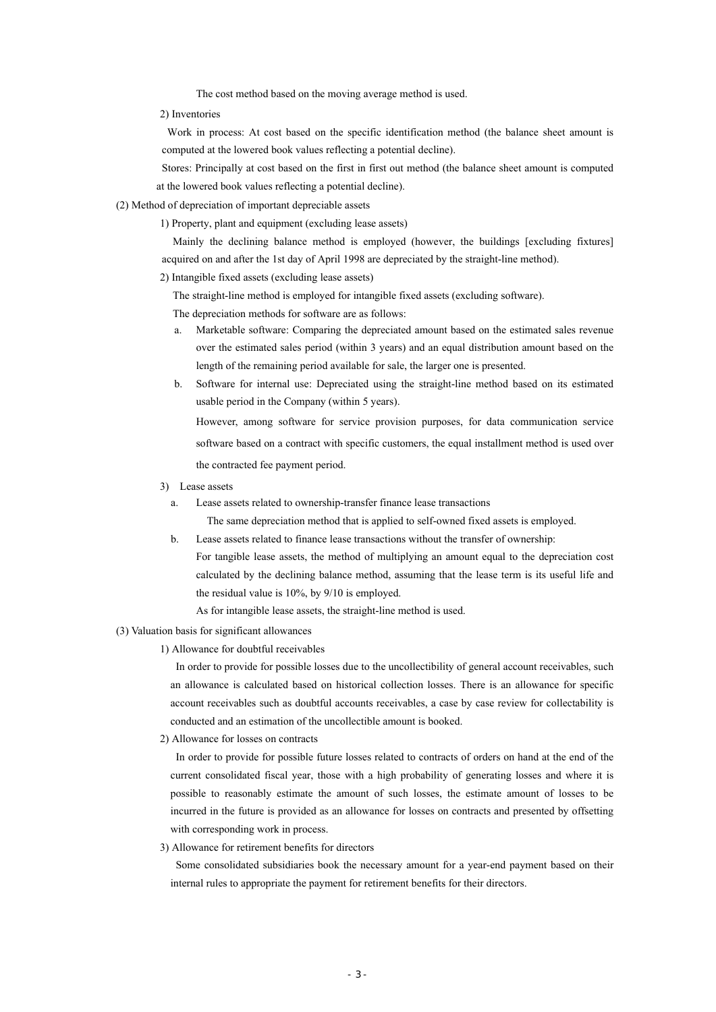The cost method based on the moving average method is used.

2) Inventories

Work in process: At cost based on the specific identification method (the balance sheet amount is computed at the lowered book values reflecting a potential decline).

Stores: Principally at cost based on the first in first out method (the balance sheet amount is computed at the lowered book values reflecting a potential decline).

## (2) Method of depreciation of important depreciable assets

1) Property, plant and equipment (excluding lease assets)

Mainly the declining balance method is employed (however, the buildings [excluding fixtures] acquired on and after the 1st day of April 1998 are depreciated by the straight-line method).

2) Intangible fixed assets (excluding lease assets)

The straight-line method is employed for intangible fixed assets (excluding software).

The depreciation methods for software are as follows:

- a. Marketable software: Comparing the depreciated amount based on the estimated sales revenue over the estimated sales period (within 3 years) and an equal distribution amount based on the length of the remaining period available for sale, the larger one is presented.
- b. Software for internal use: Depreciated using the straight-line method based on its estimated usable period in the Company (within 5 years).

However, among software for service provision purposes, for data communication service software based on a contract with specific customers, the equal installment method is used over the contracted fee payment period.

- 3) Lease assets
	- a. Lease assets related to ownership-transfer finance lease transactions

The same depreciation method that is applied to self-owned fixed assets is employed.

- b. Lease assets related to finance lease transactions without the transfer of ownership:
	- For tangible lease assets, the method of multiplying an amount equal to the depreciation cost calculated by the declining balance method, assuming that the lease term is its useful life and the residual value is 10%, by 9/10 is employed.
		- As for intangible lease assets, the straight-line method is used.

#### (3) Valuation basis for significant allowances

1) Allowance for doubtful receivables

In order to provide for possible losses due to the uncollectibility of general account receivables, such an allowance is calculated based on historical collection losses. There is an allowance for specific account receivables such as doubtful accounts receivables, a case by case review for collectability is conducted and an estimation of the uncollectible amount is booked.

2) Allowance for losses on contracts

In order to provide for possible future losses related to contracts of orders on hand at the end of the current consolidated fiscal year, those with a high probability of generating losses and where it is possible to reasonably estimate the amount of such losses, the estimate amount of losses to be incurred in the future is provided as an allowance for losses on contracts and presented by offsetting with corresponding work in process.

3) Allowance for retirement benefits for directors

Some consolidated subsidiaries book the necessary amount for a year-end payment based on their internal rules to appropriate the payment for retirement benefits for their directors.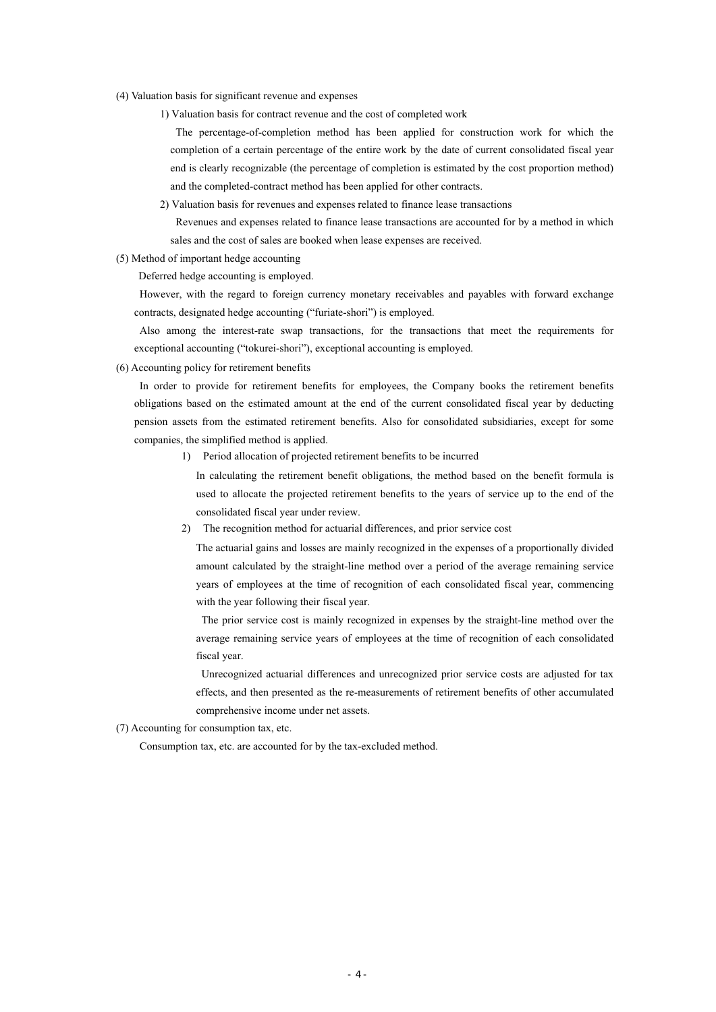- (4) Valuation basis for significant revenue and expenses
	- 1) Valuation basis for contract revenue and the cost of completed work

The percentage-of-completion method has been applied for construction work for which the completion of a certain percentage of the entire work by the date of current consolidated fiscal year end is clearly recognizable (the percentage of completion is estimated by the cost proportion method) and the completed-contract method has been applied for other contracts.

2) Valuation basis for revenues and expenses related to finance lease transactions

Revenues and expenses related to finance lease transactions are accounted for by a method in which sales and the cost of sales are booked when lease expenses are received.

(5) Method of important hedge accounting

Deferred hedge accounting is employed.

However, with the regard to foreign currency monetary receivables and payables with forward exchange contracts, designated hedge accounting ("furiate-shori") is employed.

Also among the interest-rate swap transactions, for the transactions that meet the requirements for exceptional accounting ("tokurei-shori"), exceptional accounting is employed.

(6) Accounting policy for retirement benefits

In order to provide for retirement benefits for employees, the Company books the retirement benefits obligations based on the estimated amount at the end of the current consolidated fiscal year by deducting pension assets from the estimated retirement benefits. Also for consolidated subsidiaries, except for some companies, the simplified method is applied.

1) Period allocation of projected retirement benefits to be incurred

In calculating the retirement benefit obligations, the method based on the benefit formula is used to allocate the projected retirement benefits to the years of service up to the end of the consolidated fiscal year under review.

2) The recognition method for actuarial differences, and prior service cost

The actuarial gains and losses are mainly recognized in the expenses of a proportionally divided amount calculated by the straight-line method over a period of the average remaining service years of employees at the time of recognition of each consolidated fiscal year, commencing with the year following their fiscal year.

The prior service cost is mainly recognized in expenses by the straight-line method over the average remaining service years of employees at the time of recognition of each consolidated fiscal year.

Unrecognized actuarial differences and unrecognized prior service costs are adjusted for tax effects, and then presented as the re-measurements of retirement benefits of other accumulated comprehensive income under net assets.

(7) Accounting for consumption tax, etc.

Consumption tax, etc. are accounted for by the tax-excluded method.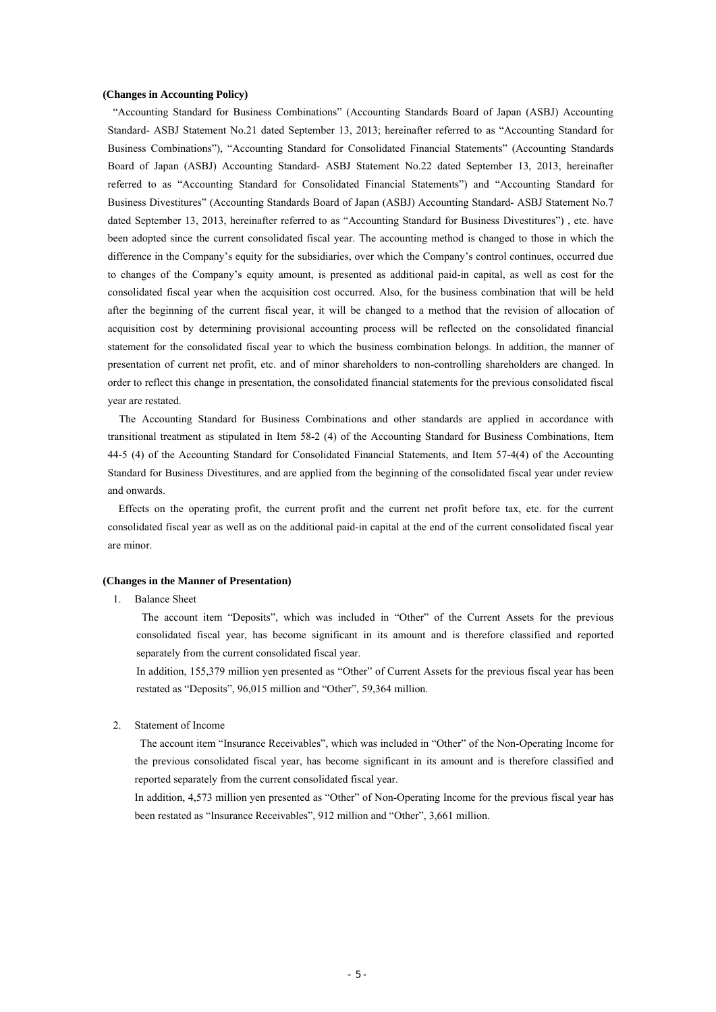#### **(Changes in Accounting Policy)**

"Accounting Standard for Business Combinations" (Accounting Standards Board of Japan (ASBJ) Accounting Standard- ASBJ Statement No.21 dated September 13, 2013; hereinafter referred to as "Accounting Standard for Business Combinations"), "Accounting Standard for Consolidated Financial Statements" (Accounting Standards Board of Japan (ASBJ) Accounting Standard- ASBJ Statement No.22 dated September 13, 2013, hereinafter referred to as "Accounting Standard for Consolidated Financial Statements") and "Accounting Standard for Business Divestitures" (Accounting Standards Board of Japan (ASBJ) Accounting Standard- ASBJ Statement No.7 dated September 13, 2013, hereinafter referred to as "Accounting Standard for Business Divestitures"), etc. have been adopted since the current consolidated fiscal year. The accounting method is changed to those in which the difference in the Company's equity for the subsidiaries, over which the Company's control continues, occurred due to changes of the Company's equity amount, is presented as additional paid-in capital, as well as cost for the consolidated fiscal year when the acquisition cost occurred. Also, for the business combination that will be held after the beginning of the current fiscal year, it will be changed to a method that the revision of allocation of acquisition cost by determining provisional accounting process will be reflected on the consolidated financial statement for the consolidated fiscal year to which the business combination belongs. In addition, the manner of presentation of current net profit, etc. and of minor shareholders to non-controlling shareholders are changed. In order to reflect this change in presentation, the consolidated financial statements for the previous consolidated fiscal year are restated.

The Accounting Standard for Business Combinations and other standards are applied in accordance with transitional treatment as stipulated in Item 58-2 (4) of the Accounting Standard for Business Combinations, Item 44-5 (4) of the Accounting Standard for Consolidated Financial Statements, and Item 57-4(4) of the Accounting Standard for Business Divestitures, and are applied from the beginning of the consolidated fiscal year under review and onwards.

Effects on the operating profit, the current profit and the current net profit before tax, etc. for the current consolidated fiscal year as well as on the additional paid-in capital at the end of the current consolidated fiscal year are minor.

## **(Changes in the Manner of Presentation)**

1. Balance Sheet

The account item "Deposits", which was included in "Other" of the Current Assets for the previous consolidated fiscal year, has become significant in its amount and is therefore classified and reported separately from the current consolidated fiscal year.

In addition, 155,379 million yen presented as "Other" of Current Assets for the previous fiscal year has been restated as "Deposits", 96,015 million and "Other", 59,364 million.

2. Statement of Income

 The account item "Insurance Receivables", which was included in "Other" of the Non-Operating Income for the previous consolidated fiscal year, has become significant in its amount and is therefore classified and reported separately from the current consolidated fiscal year.

In addition, 4,573 million yen presented as "Other" of Non-Operating Income for the previous fiscal year has been restated as "Insurance Receivables", 912 million and "Other", 3,661 million.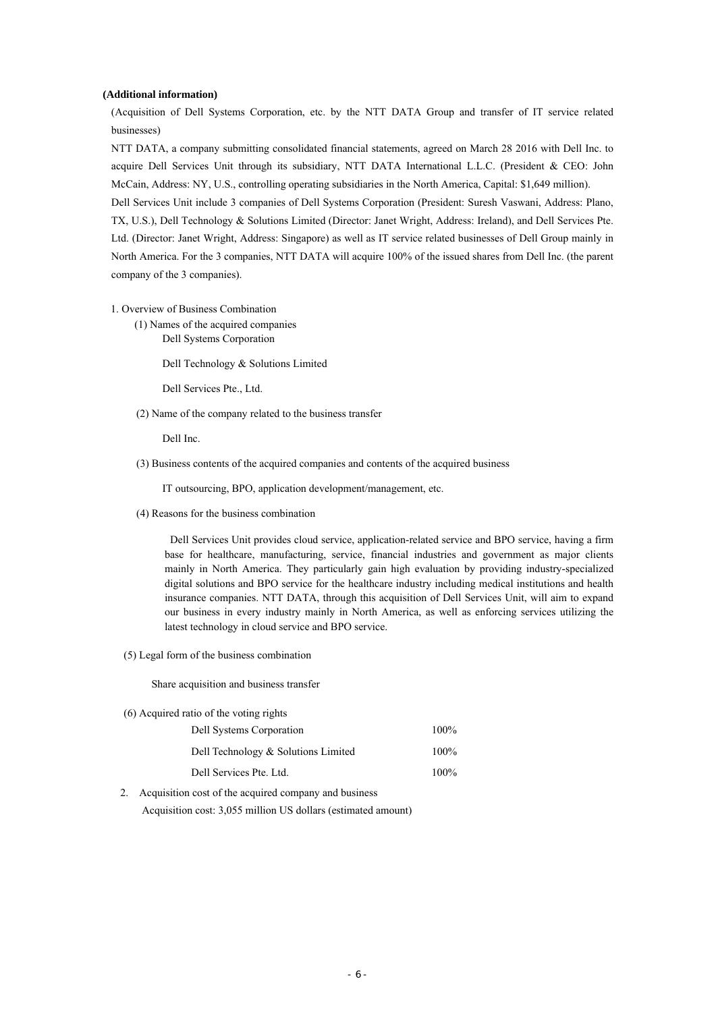#### **(Additional information)**

(Acquisition of Dell Systems Corporation, etc. by the NTT DATA Group and transfer of IT service related businesses)

NTT DATA, a company submitting consolidated financial statements, agreed on March 28 2016 with Dell Inc. to acquire Dell Services Unit through its subsidiary, NTT DATA International L.L.C. (President & CEO: John McCain, Address: NY, U.S., controlling operating subsidiaries in the North America, Capital: \$1,649 million).

Dell Services Unit include 3 companies of Dell Systems Corporation (President: Suresh Vaswani, Address: Plano, TX, U.S.), Dell Technology & Solutions Limited (Director: Janet Wright, Address: Ireland), and Dell Services Pte. Ltd. (Director: Janet Wright, Address: Singapore) as well as IT service related businesses of Dell Group mainly in North America. For the 3 companies, NTT DATA will acquire 100% of the issued shares from Dell Inc. (the parent company of the 3 companies).

- 1. Overview of Business Combination
	- (1) Names of the acquired companies Dell Systems Corporation

Dell Technology & Solutions Limited

Dell Services Pte., Ltd.

(2) Name of the company related to the business transfer

Dell Inc.

(3) Business contents of the acquired companies and contents of the acquired business

IT outsourcing, BPO, application development/management, etc.

(4) Reasons for the business combination

Dell Services Unit provides cloud service, application-related service and BPO service, having a firm base for healthcare, manufacturing, service, financial industries and government as major clients mainly in North America. They particularly gain high evaluation by providing industry-specialized digital solutions and BPO service for the healthcare industry including medical institutions and health insurance companies. NTT DATA, through this acquisition of Dell Services Unit, will aim to expand our business in every industry mainly in North America, as well as enforcing services utilizing the latest technology in cloud service and BPO service.

(5) Legal form of the business combination

Share acquisition and business transfer

(6) Acquired ratio of the voting rights

| Dell Systems Corporation            | $100\%$ |
|-------------------------------------|---------|
| Dell Technology & Solutions Limited | $100\%$ |
| Dell Services Pte. Ltd.             | $100\%$ |

2. Acquisition cost of the acquired company and business Acquisition cost: 3,055 million US dollars (estimated amount)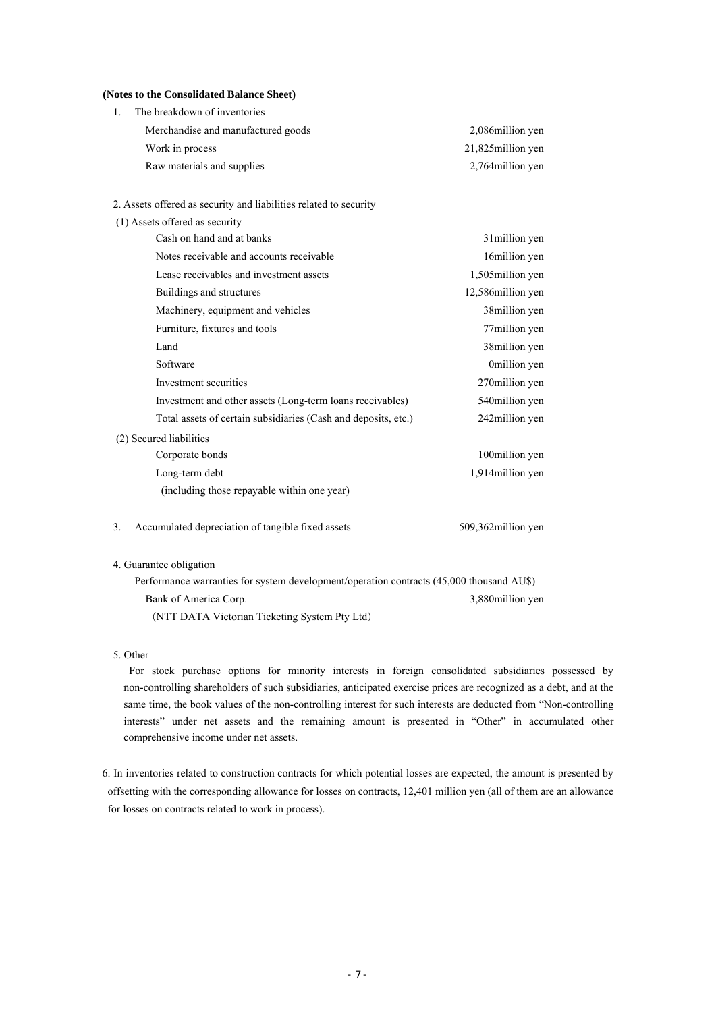#### **(Notes to the Consolidated Balance Sheet)**

| The breakdown of inventories       |                    |
|------------------------------------|--------------------|
| Merchandise and manufactured goods | 2,086 million yen  |
| Work in process                    | 21,825 million yen |
| Raw materials and supplies         | 2,764 million yen  |

2. Assets offered as security and liabilities related to security

| (1) Assets offered as security                                 |                     |
|----------------------------------------------------------------|---------------------|
| Cash on hand and at banks                                      | 31 million yen      |
| Notes receivable and accounts receivable                       | 16million yen       |
| Lease receivables and investment assets                        | 1,505million yen    |
| Buildings and structures                                       | 12,586 million yen  |
| Machinery, equipment and vehicles                              | 38 million yen      |
| Furniture, fixtures and tools                                  | 77million yen       |
| Land                                                           | 38 million yen      |
| Software                                                       | 0million yen        |
| Investment securities                                          | 270 million yen     |
| Investment and other assets (Long-term loans receivables)      | 540 million yen     |
| Total assets of certain subsidiaries (Cash and deposits, etc.) | 242million yen      |
| (2) Secured liabilities                                        |                     |
| Corporate bonds                                                | 100million yen      |
| Long-term debt                                                 | 1,914 million yen   |
| (including those repayable within one year)                    |                     |
| Accumulated depreciation of tangible fixed assets<br>3.        | 509,362 million yen |

#### 4. Guarantee obligation

Performance warranties for system development/operation contracts (45,000 thousand AU\$) Bank of America Corp. (NTT DATA Victorian Ticketing System Pty Ltd) 3,880million yen

## 5. Other

For stock purchase options for minority interests in foreign consolidated subsidiaries possessed by non-controlling shareholders of such subsidiaries, anticipated exercise prices are recognized as a debt, and at the same time, the book values of the non-controlling interest for such interests are deducted from "Non-controlling interests" under net assets and the remaining amount is presented in "Other" in accumulated other comprehensive income under net assets.

6. In inventories related to construction contracts for which potential losses are expected, the amount is presented by offsetting with the corresponding allowance for losses on contracts, 12,401 million yen (all of them are an allowance for losses on contracts related to work in process).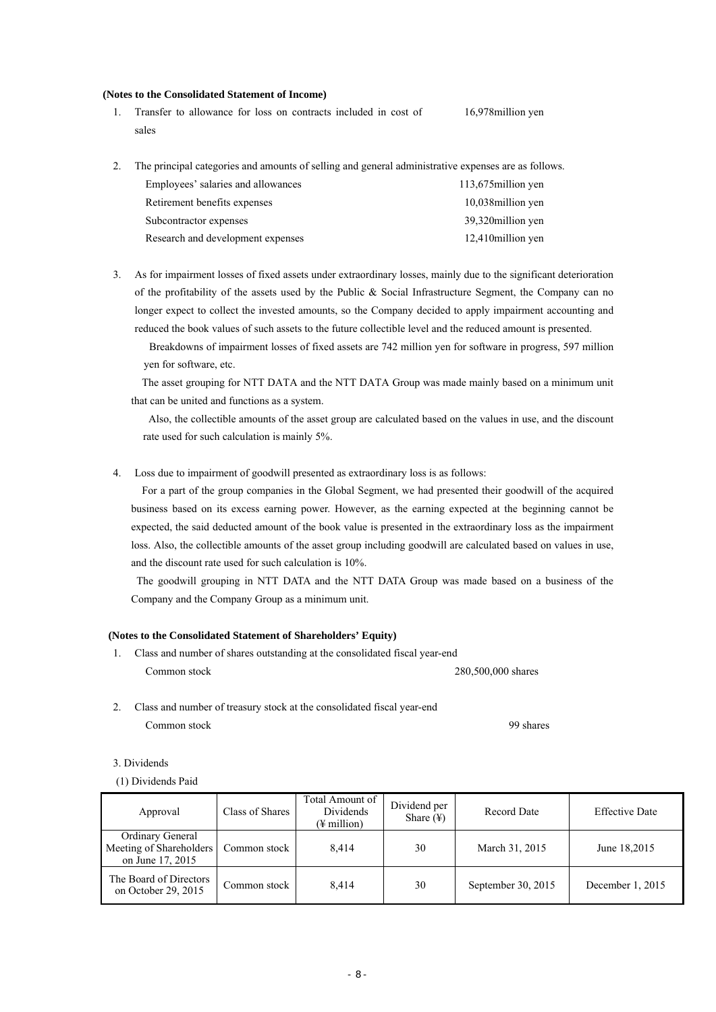#### **(Notes to the Consolidated Statement of Income)**

1. Transfer to allowance for loss on contracts included in cost of sales 16,978million yen

2. The principal categories and amounts of selling and general administrative expenses are as follows.

| Employees' salaries and allowances | 113,675 million yen |
|------------------------------------|---------------------|
| Retirement benefits expenses       | 10,038 million yen  |
| Subcontractor expenses             | 39,320 million yen  |
| Research and development expenses  | 12,410 million yen  |

3. As for impairment losses of fixed assets under extraordinary losses, mainly due to the significant deterioration of the profitability of the assets used by the Public & Social Infrastructure Segment, the Company can no longer expect to collect the invested amounts, so the Company decided to apply impairment accounting and reduced the book values of such assets to the future collectible level and the reduced amount is presented.

Breakdowns of impairment losses of fixed assets are 742 million yen for software in progress, 597 million yen for software, etc.

The asset grouping for NTT DATA and the NTT DATA Group was made mainly based on a minimum unit that can be united and functions as a system.

Also, the collectible amounts of the asset group are calculated based on the values in use, and the discount rate used for such calculation is mainly 5%.

4. Loss due to impairment of goodwill presented as extraordinary loss is as follows:

For a part of the group companies in the Global Segment, we had presented their goodwill of the acquired business based on its excess earning power. However, as the earning expected at the beginning cannot be expected, the said deducted amount of the book value is presented in the extraordinary loss as the impairment loss. Also, the collectible amounts of the asset group including goodwill are calculated based on values in use, and the discount rate used for such calculation is 10%.

 The goodwill grouping in NTT DATA and the NTT DATA Group was made based on a business of the Company and the Company Group as a minimum unit.

#### **(Notes to the Consolidated Statement of Shareholders' Equity)**

- 1. Class and number of shares outstanding at the consolidated fiscal year-end Common stock 280,500,000 shares
- 2. Class and number of treasury stock at the consolidated fiscal year-end Common stock 99 shares

3. Dividends

(1) Dividends Paid

| Approval                                                               | Class of Shares | Total Amount of<br>Dividends<br>$(\frac{1}{2})$ million | Dividend per<br>Share $(\frac{1}{2})$ | Record Date        | <b>Effective Date</b> |
|------------------------------------------------------------------------|-----------------|---------------------------------------------------------|---------------------------------------|--------------------|-----------------------|
| <b>Ordinary General</b><br>Meeting of Shareholders<br>on June 17, 2015 | Common stock    | 8.414                                                   | 30                                    | March 31, 2015     | June 18,2015          |
| The Board of Directors<br>on October 29, 2015                          | Common stock    | 8.414                                                   | 30                                    | September 30, 2015 | December 1, 2015      |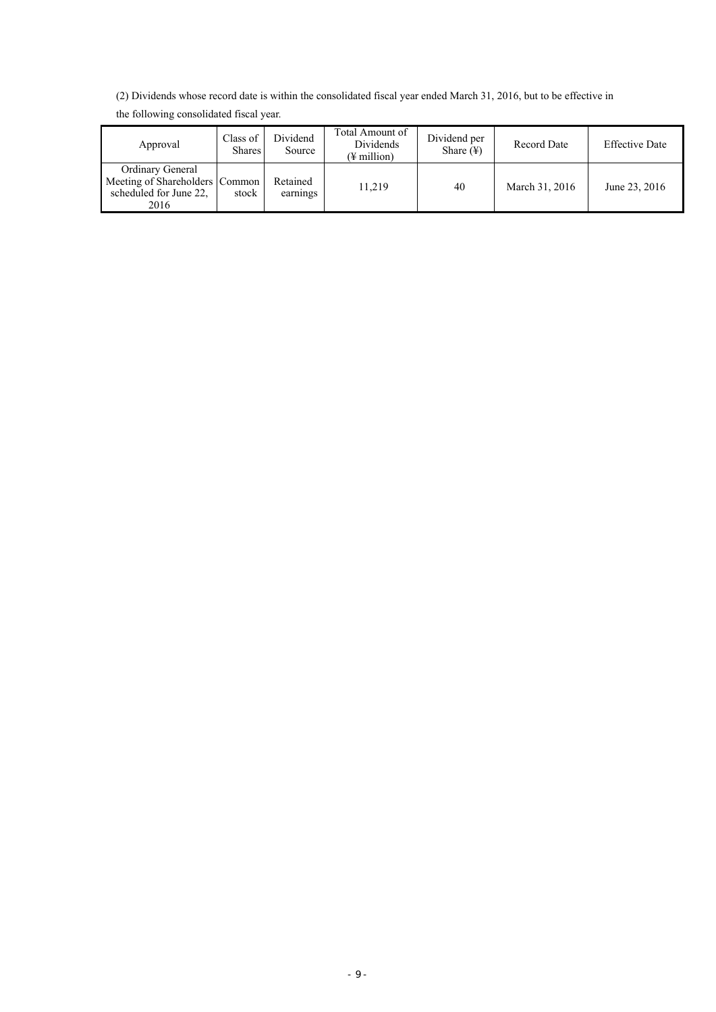(2) Dividends whose record date is within the consolidated fiscal year ended March 31, 2016, but to be effective in

| Approval                                                                             | Class of<br>Shares | Dividend<br>Source   | Total Amount of<br>Dividends<br>(¥ million) | Dividend per<br>Share $(\frac{1}{2})$ | <b>Record Date</b> | <b>Effective Date</b> |
|--------------------------------------------------------------------------------------|--------------------|----------------------|---------------------------------------------|---------------------------------------|--------------------|-----------------------|
| Ordinary General<br>Meeting of Shareholders Common<br>scheduled for June 22.<br>2016 | stock              | Retained<br>earnings | 11.219                                      | 40                                    | March 31, 2016     | June 23, 2016         |

the following consolidated fiscal year.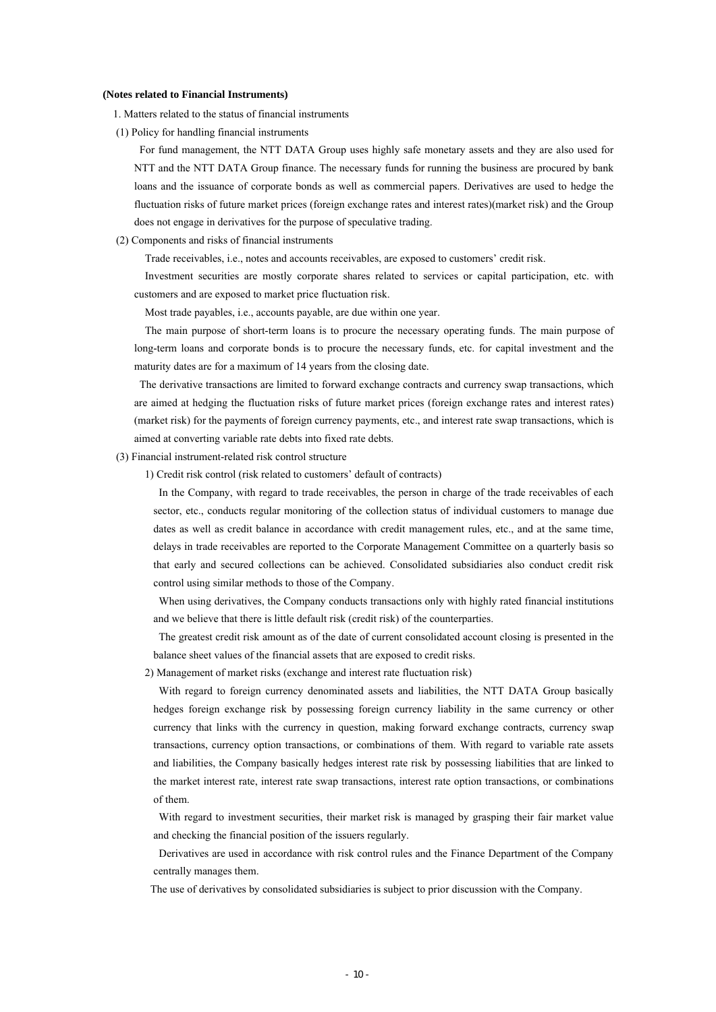#### **(Notes related to Financial Instruments)**

1. Matters related to the status of financial instruments

(1) Policy for handling financial instruments

For fund management, the NTT DATA Group uses highly safe monetary assets and they are also used for NTT and the NTT DATA Group finance. The necessary funds for running the business are procured by bank loans and the issuance of corporate bonds as well as commercial papers. Derivatives are used to hedge the fluctuation risks of future market prices (foreign exchange rates and interest rates)(market risk) and the Group does not engage in derivatives for the purpose of speculative trading.

(2) Components and risks of financial instruments

Trade receivables, i.e., notes and accounts receivables, are exposed to customers' credit risk.

Investment securities are mostly corporate shares related to services or capital participation, etc. with customers and are exposed to market price fluctuation risk.

Most trade payables, i.e., accounts payable, are due within one year.

The main purpose of short-term loans is to procure the necessary operating funds. The main purpose of long-term loans and corporate bonds is to procure the necessary funds, etc. for capital investment and the maturity dates are for a maximum of 14 years from the closing date.

The derivative transactions are limited to forward exchange contracts and currency swap transactions, which are aimed at hedging the fluctuation risks of future market prices (foreign exchange rates and interest rates) (market risk) for the payments of foreign currency payments, etc., and interest rate swap transactions, which is aimed at converting variable rate debts into fixed rate debts.

(3) Financial instrument-related risk control structure

1) Credit risk control (risk related to customers' default of contracts)

In the Company, with regard to trade receivables, the person in charge of the trade receivables of each sector, etc., conducts regular monitoring of the collection status of individual customers to manage due dates as well as credit balance in accordance with credit management rules, etc., and at the same time, delays in trade receivables are reported to the Corporate Management Committee on a quarterly basis so that early and secured collections can be achieved. Consolidated subsidiaries also conduct credit risk control using similar methods to those of the Company.

When using derivatives, the Company conducts transactions only with highly rated financial institutions and we believe that there is little default risk (credit risk) of the counterparties.

The greatest credit risk amount as of the date of current consolidated account closing is presented in the balance sheet values of the financial assets that are exposed to credit risks.

2) Management of market risks (exchange and interest rate fluctuation risk)

With regard to foreign currency denominated assets and liabilities, the NTT DATA Group basically hedges foreign exchange risk by possessing foreign currency liability in the same currency or other currency that links with the currency in question, making forward exchange contracts, currency swap transactions, currency option transactions, or combinations of them. With regard to variable rate assets and liabilities, the Company basically hedges interest rate risk by possessing liabilities that are linked to the market interest rate, interest rate swap transactions, interest rate option transactions, or combinations of them.

With regard to investment securities, their market risk is managed by grasping their fair market value and checking the financial position of the issuers regularly.

Derivatives are used in accordance with risk control rules and the Finance Department of the Company centrally manages them.

The use of derivatives by consolidated subsidiaries is subject to prior discussion with the Company.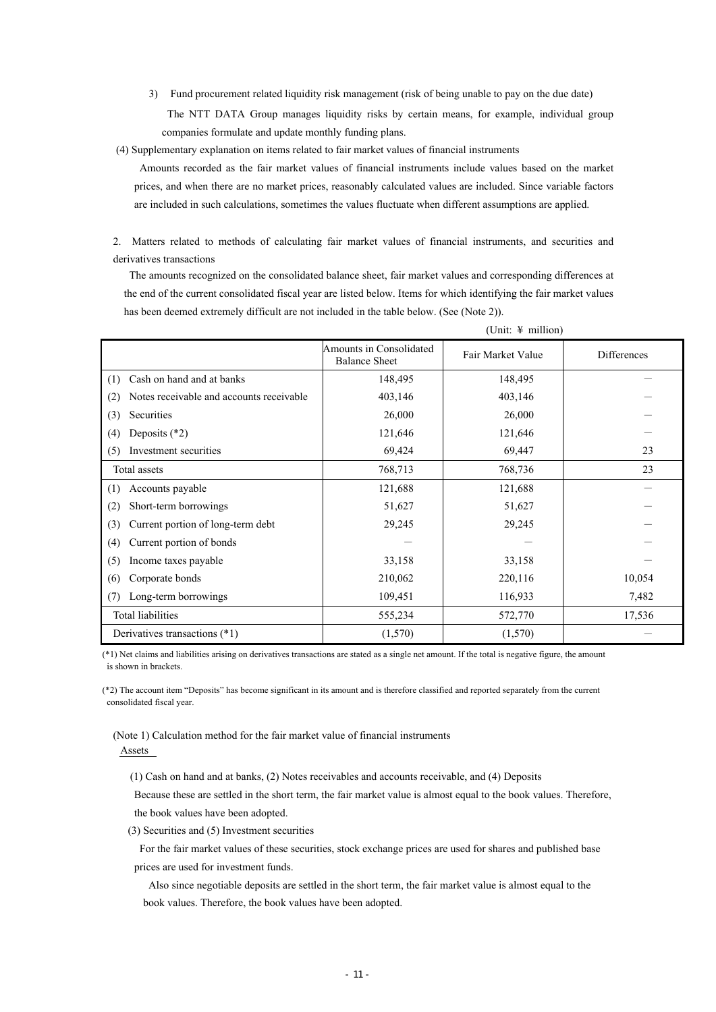3) Fund procurement related liquidity risk management (risk of being unable to pay on the due date) The NTT DATA Group manages liquidity risks by certain means, for example, individual group companies formulate and update monthly funding plans.

(4) Supplementary explanation on items related to fair market values of financial instruments

Amounts recorded as the fair market values of financial instruments include values based on the market prices, and when there are no market prices, reasonably calculated values are included. Since variable factors are included in such calculations, sometimes the values fluctuate when different assumptions are applied.

2. Matters related to methods of calculating fair market values of financial instruments, and securities and derivatives transactions

The amounts recognized on the consolidated balance sheet, fair market values and corresponding differences at the end of the current consolidated fiscal year are listed below. Items for which identifying the fair market values has been deemed extremely difficult are not included in the table below. (See (Note 2)).

|                                                 | Amounts in Consolidated<br><b>Balance Sheet</b> | Fair Market Value | Differences |
|-------------------------------------------------|-------------------------------------------------|-------------------|-------------|
| Cash on hand and at banks<br>(1)                | 148,495                                         | 148,495           |             |
| Notes receivable and accounts receivable<br>(2) | 403,146                                         | 403,146           |             |
| (3)<br>Securities                               | 26,000                                          | 26,000            |             |
| Deposits $(*2)$<br>(4)                          | 121,646                                         | 121,646           |             |
| Investment securities<br>(5)                    | 69,424                                          | 69,447            | 23          |
| Total assets                                    | 768,713                                         | 768,736           | 23          |
| Accounts payable<br>(1)                         | 121,688                                         | 121,688           |             |
| Short-term borrowings<br>(2)                    | 51,627                                          | 51,627            |             |
| Current portion of long-term debt<br>(3)        | 29,245                                          | 29,245            |             |
| Current portion of bonds<br>(4)                 |                                                 |                   |             |
| (5)<br>Income taxes payable                     | 33,158                                          | 33,158            |             |
| Corporate bonds<br>(6)                          | 210,062                                         | 220,116           | 10,054      |
| Long-term borrowings<br>(7)                     | 109,451                                         | 116,933           | 7,482       |
| Total liabilities                               | 555,234                                         | 572,770           | 17,536      |
| Derivatives transactions (*1)                   | (1,570)                                         | (1,570)           |             |

(Unit: ¥ million)

(\*1) Net claims and liabilities arising on derivatives transactions are stated as a single net amount. If the total is negative figure, the amount is shown in brackets.

(\*2) The account item "Deposits" has become significant in its amount and is therefore classified and reported separately from the current consolidated fiscal year.

(Note 1) Calculation method for the fair market value of financial instruments Assets

(1) Cash on hand and at banks, (2) Notes receivables and accounts receivable, and (4) Deposits

Because these are settled in the short term, the fair market value is almost equal to the book values. Therefore, the book values have been adopted.

(3) Securities and (5) Investment securities

For the fair market values of these securities, stock exchange prices are used for shares and published base prices are used for investment funds.

Also since negotiable deposits are settled in the short term, the fair market value is almost equal to the book values. Therefore, the book values have been adopted.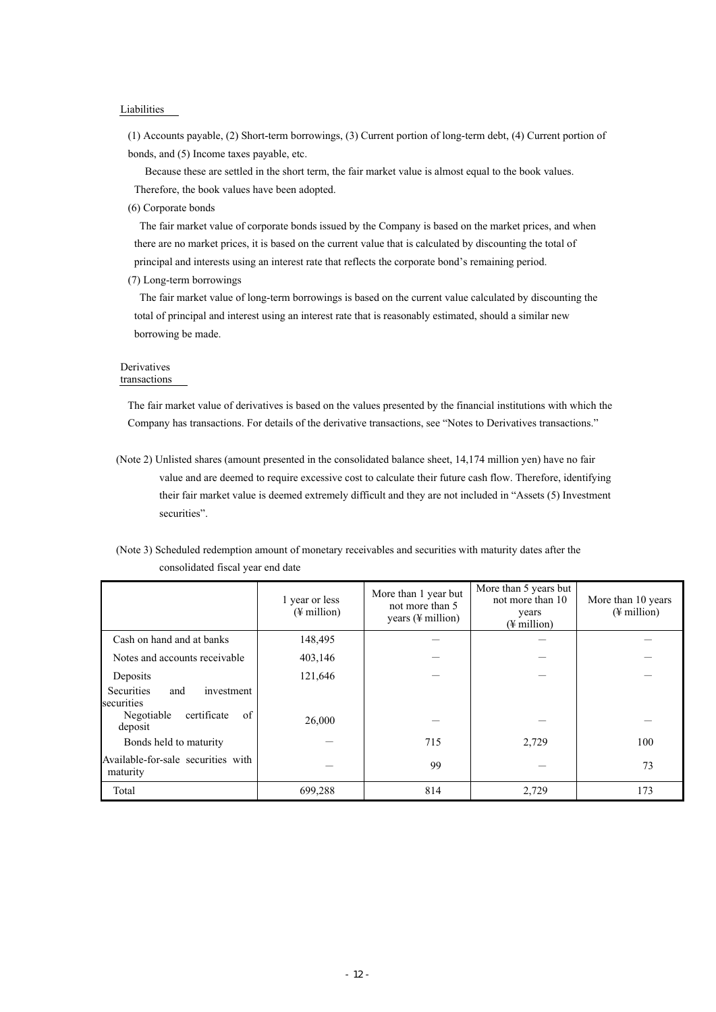#### Liabilities

(1) Accounts payable, (2) Short-term borrowings, (3) Current portion of long-term debt, (4) Current portion of bonds, and (5) Income taxes payable, etc.

Because these are settled in the short term, the fair market value is almost equal to the book values. Therefore, the book values have been adopted.

(6) Corporate bonds

The fair market value of corporate bonds issued by the Company is based on the market prices, and when there are no market prices, it is based on the current value that is calculated by discounting the total of principal and interests using an interest rate that reflects the corporate bond's remaining period.

(7) Long-term borrowings

The fair market value of long-term borrowings is based on the current value calculated by discounting the total of principal and interest using an interest rate that is reasonably estimated, should a similar new borrowing be made.

# Derivatives

transactions

The fair market value of derivatives is based on the values presented by the financial institutions with which the Company has transactions. For details of the derivative transactions, see "Notes to Derivatives transactions."

(Note 2) Unlisted shares (amount presented in the consolidated balance sheet, 14,174 million yen) have no fair value and are deemed to require excessive cost to calculate their future cash flow. Therefore, identifying their fair market value is deemed extremely difficult and they are not included in "Assets (5) Investment securities".

|                                   | (Note 3) Scheduled redemption amount of monetary receivables and securities with maturity dates after the |
|-----------------------------------|-----------------------------------------------------------------------------------------------------------|
| consolidated fiscal year end date |                                                                                                           |

|                                                          | 1 year or less<br>$(\frac{1}{2}$ million) | More than 1 year but<br>not more than 5<br>years $(\frac{1}{2})$ million | More than 5 years but<br>not more than 10<br>years<br>$(\frac{1}{2}$ million) | More than 10 years<br>$(\frac{1}{2}$ million) |
|----------------------------------------------------------|-------------------------------------------|--------------------------------------------------------------------------|-------------------------------------------------------------------------------|-----------------------------------------------|
| Cash on hand and at banks                                | 148,495                                   |                                                                          |                                                                               |                                               |
| Notes and accounts receivable                            | 403,146                                   |                                                                          |                                                                               |                                               |
| Deposits                                                 | 121,646                                   |                                                                          |                                                                               |                                               |
| Securities<br>investment<br>and                          |                                           |                                                                          |                                                                               |                                               |
| securities<br>of<br>Negotiable<br>certificate<br>deposit | 26,000                                    |                                                                          |                                                                               |                                               |
| Bonds held to maturity                                   |                                           | 715                                                                      | 2,729                                                                         | 100                                           |
| Available-for-sale securities with<br>maturity           |                                           | 99                                                                       |                                                                               | 73                                            |
| Total                                                    | 699,288                                   | 814                                                                      | 2,729                                                                         | 173                                           |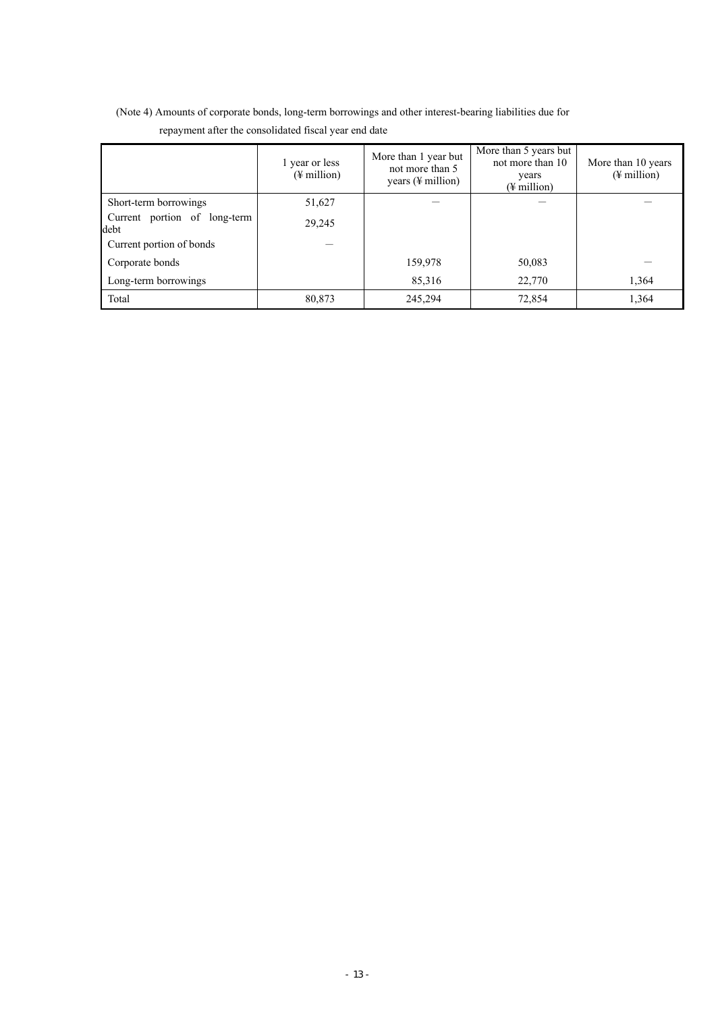|                                      | 1 year or less<br>$(\frac{1}{2}$ million) | More than 1 year but<br>not more than 5<br>years $(\frac{1}{2})$ million) | More than 5 years but<br>not more than 10<br>years<br>$(\frac{1}{2}$ million) | More than 10 years<br>$(\frac{1}{2}$ million) |
|--------------------------------------|-------------------------------------------|---------------------------------------------------------------------------|-------------------------------------------------------------------------------|-----------------------------------------------|
| Short-term borrowings                | 51,627                                    |                                                                           |                                                                               |                                               |
| Current portion of long-term<br>debt | 29,245                                    |                                                                           |                                                                               |                                               |
| Current portion of bonds             |                                           |                                                                           |                                                                               |                                               |
| Corporate bonds                      |                                           | 159,978                                                                   | 50,083                                                                        |                                               |
| Long-term borrowings                 |                                           | 85,316                                                                    | 22,770                                                                        | 1,364                                         |
| Total                                | 80,873                                    | 245,294                                                                   | 72,854                                                                        | 1,364                                         |

(Note 4) Amounts of corporate bonds, long-term borrowings and other interest-bearing liabilities due for repayment after the consolidated fiscal year end date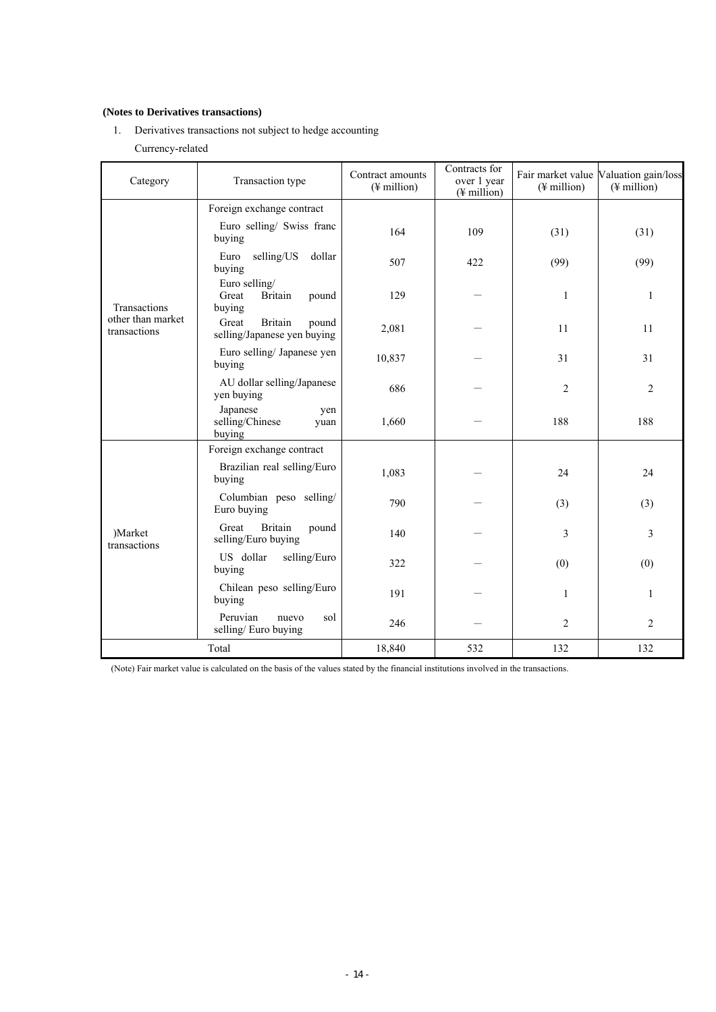# **(Notes to Derivatives transactions)**

1. Derivatives transactions not subject to hedge accounting Currency-related

| Category                          | Transaction type                                                | Contract amounts<br>$(\frac{1}{2}$ million) | Contracts for<br>over 1 year<br>$(\frac{1}{2}$ million) | $(\frac{1}{2}$ million) | Fair market value Valuation gain/loss<br>$(\frac{1}{2}$ million) |
|-----------------------------------|-----------------------------------------------------------------|---------------------------------------------|---------------------------------------------------------|-------------------------|------------------------------------------------------------------|
|                                   | Foreign exchange contract                                       |                                             |                                                         |                         |                                                                  |
|                                   | Euro selling/ Swiss franc<br>buying                             | 164                                         | 109                                                     | (31)                    | (31)                                                             |
|                                   | selling/US<br>dollar<br>Euro<br>buying                          | 507                                         | 422                                                     | (99)                    | (99)                                                             |
| Transactions                      | Euro selling/<br><b>Britain</b><br>Great<br>pound<br>buying     | 129                                         |                                                         | 1                       | 1                                                                |
| other than market<br>transactions | <b>Britain</b><br>Great<br>pound<br>selling/Japanese yen buying | 2,081                                       |                                                         | 11                      | 11                                                               |
|                                   | Euro selling/ Japanese yen<br>buying                            | 10,837                                      |                                                         | 31                      | 31                                                               |
|                                   | AU dollar selling/Japanese<br>yen buying                        | 686                                         |                                                         | $\overline{2}$          | $\overline{2}$                                                   |
|                                   | Japanese<br>yen<br>selling/Chinese<br>yuan<br>buying            | 1,660                                       |                                                         | 188                     | 188                                                              |
|                                   | Foreign exchange contract                                       |                                             |                                                         |                         |                                                                  |
|                                   | Brazilian real selling/Euro<br>buying                           | 1,083                                       |                                                         | 24                      | 24                                                               |
|                                   | Columbian peso selling/<br>Euro buying                          | 790                                         |                                                         | (3)                     | (3)                                                              |
| )Market<br>transactions           | <b>Britain</b><br>Great<br>pound<br>selling/Euro buying         | 140                                         |                                                         | 3                       | 3                                                                |
|                                   | US dollar<br>selling/Euro<br>buying                             | 322                                         |                                                         | (0)                     | (0)                                                              |
|                                   | Chilean peso selling/Euro<br>buying                             | 191                                         |                                                         | 1                       | 1                                                                |
|                                   | Peruvian<br>sol<br>nuevo<br>selling/Euro buying                 | 246                                         |                                                         | $\overline{c}$          | $\overline{c}$                                                   |
| Total                             |                                                                 | 18,840                                      | 532                                                     | 132                     | 132                                                              |

(Note) Fair market value is calculated on the basis of the values stated by the financial institutions involved in the transactions.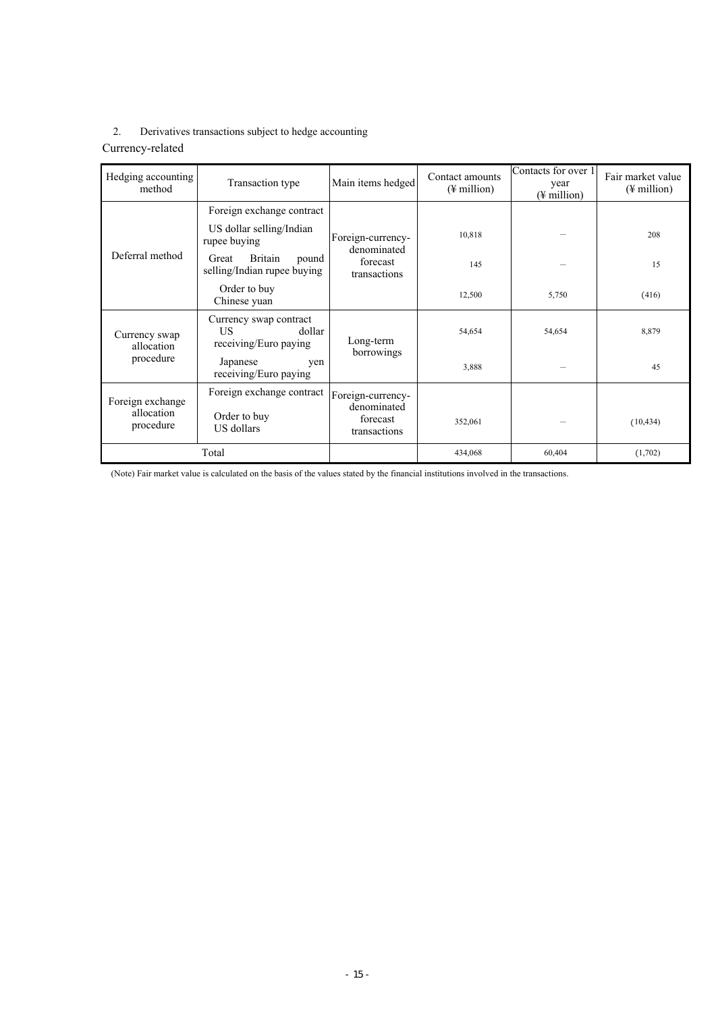# 2. Derivatives transactions subject to hedge accounting

# Currency-related

| Hedging accounting<br>method                | Transaction type                                                 | Main items hedged                                            | Contact amounts<br>$(\frac{1}{2})$ million | Contacts for over 1<br>year<br>$(\frac{1}{2})$ million | Fair market value<br>$(\frac{1}{2})$ million |
|---------------------------------------------|------------------------------------------------------------------|--------------------------------------------------------------|--------------------------------------------|--------------------------------------------------------|----------------------------------------------|
|                                             | Foreign exchange contract                                        |                                                              |                                            |                                                        |                                              |
|                                             | US dollar selling/Indian<br>rupee buying                         | Foreign-currency-<br>denominated                             | 10,818                                     |                                                        | 208                                          |
| Deferral method                             | Britain<br>Great<br>pound<br>selling/Indian rupee buying         | forecast<br>transactions                                     | 145                                        |                                                        | 15                                           |
|                                             | Order to buy<br>Chinese yuan                                     |                                                              | 12,500                                     | 5,750                                                  | (416)                                        |
| Currency swap<br>allocation                 | Currency swap contract<br>US.<br>dollar<br>receiving/Euro paying | Long-term                                                    | 54,654                                     | 54,654                                                 | 8,879                                        |
| procedure                                   | Japanese<br>ven<br>receiving/Euro paying                         | borrowings                                                   | 3,888                                      |                                                        | 45                                           |
| Foreign exchange<br>allocation<br>procedure | Foreign exchange contract<br>Order to buy<br>US dollars          | Foreign-currency-<br>denominated<br>forecast<br>transactions | 352,061                                    |                                                        | (10, 434)                                    |
|                                             | Total                                                            |                                                              | 434,068                                    | 60.404                                                 | (1,702)                                      |

(Note) Fair market value is calculated on the basis of the values stated by the financial institutions involved in the transactions.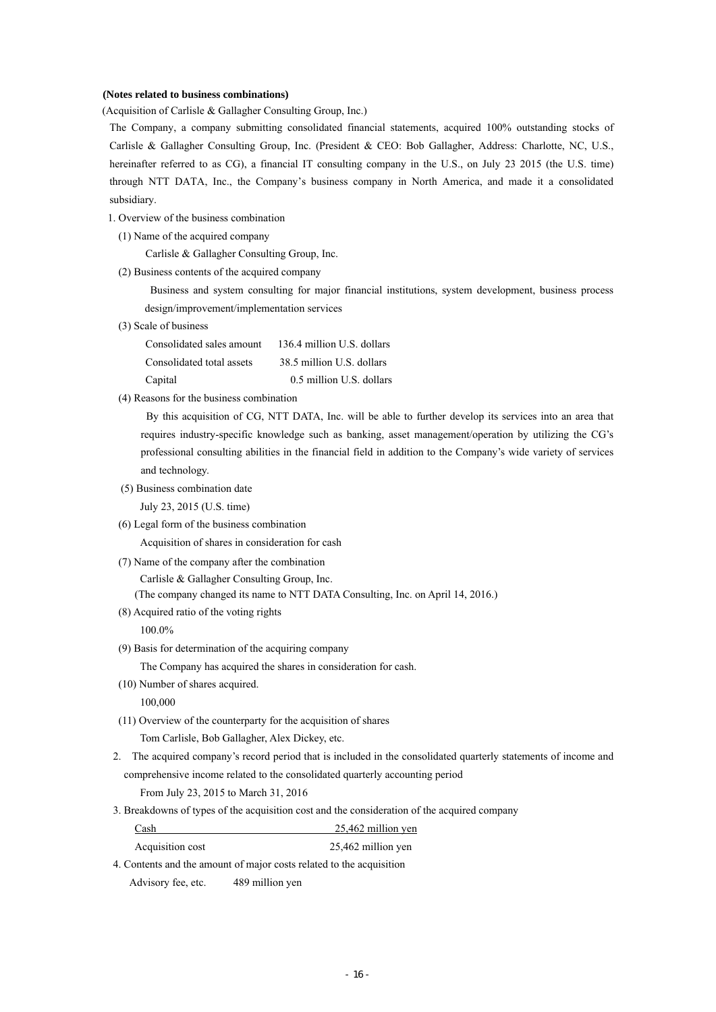#### **(Notes related to business combinations)**

(Acquisition of Carlisle & Gallagher Consulting Group, Inc.)

The Company, a company submitting consolidated financial statements, acquired 100% outstanding stocks of Carlisle & Gallagher Consulting Group, Inc. (President & CEO: Bob Gallagher, Address: Charlotte, NC, U.S., hereinafter referred to as CG), a financial IT consulting company in the U.S., on July 23 2015 (the U.S. time) through NTT DATA, Inc., the Company's business company in North America, and made it a consolidated subsidiary.

1. Overview of the business combination

(1) Name of the acquired company

Carlisle & Gallagher Consulting Group, Inc.

(2) Business contents of the acquired company

 Business and system consulting for major financial institutions, system development, business process design/improvement/implementation services

(3) Scale of business

 Consolidated sales amount 136.4 million U.S. dollars Consolidated total assets 38.5 million U.S. dollars Capital 0.5 million U.S. dollars

(4) Reasons for the business combination

By this acquisition of CG, NTT DATA, Inc. will be able to further develop its services into an area that requires industry-specific knowledge such as banking, asset management/operation by utilizing the CG's professional consulting abilities in the financial field in addition to the Company's wide variety of services and technology.

(5) Business combination date

July 23, 2015 (U.S. time)

(6) Legal form of the business combination

Acquisition of shares in consideration for cash

(7) Name of the company after the combination

Carlisle & Gallagher Consulting Group, Inc.

(The company changed its name to NTT DATA Consulting, Inc. on April 14, 2016.)

(8) Acquired ratio of the voting rights

100.0%

(9) Basis for determination of the acquiring company

The Company has acquired the shares in consideration for cash.

(10) Number of shares acquired.

100,000

(11) Overview of the counterparty for the acquisition of shares

Tom Carlisle, Bob Gallagher, Alex Dickey, etc.

 2. The acquired company's record period that is included in the consolidated quarterly statements of income and comprehensive income related to the consolidated quarterly accounting period

From July 23, 2015 to March 31, 2016

3. Breakdowns of types of the acquisition cost and the consideration of the acquired company

| Cash             | 25.462 million ven |
|------------------|--------------------|
| Acquisition cost | 25,462 million yen |

4. Contents and the amount of major costs related to the acquisition

Advisory fee, etc. 489 million yen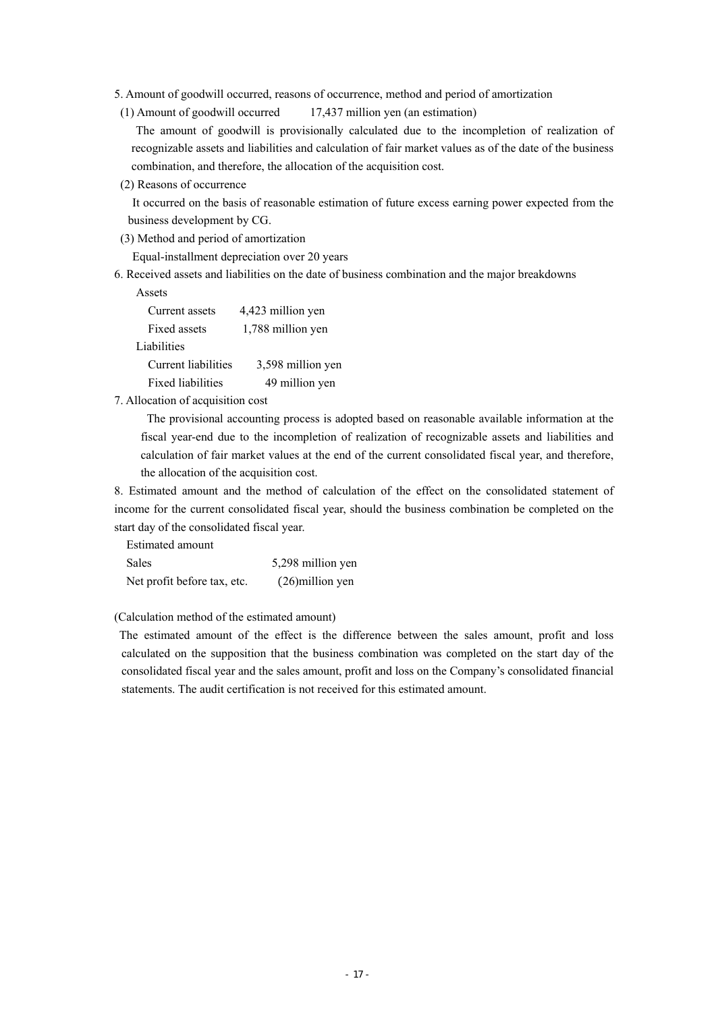- 5. Amount of goodwill occurred, reasons of occurrence, method and period of amortization
- (1) Amount of goodwill occurred 17,437 million yen (an estimation)

The amount of goodwill is provisionally calculated due to the incompletion of realization of recognizable assets and liabilities and calculation of fair market values as of the date of the business combination, and therefore, the allocation of the acquisition cost.

(2) Reasons of occurrence

 It occurred on the basis of reasonable estimation of future excess earning power expected from the business development by CG.

(3) Method and period of amortization

Equal-installment depreciation over 20 years

6. Received assets and liabilities on the date of business combination and the major breakdowns

Assets

| Current assets           | 4,423 million yen |
|--------------------------|-------------------|
| Fixed assets             | 1,788 million yen |
| Liabilities              |                   |
| Current liabilities      | 3,598 million yen |
| <b>Fixed liabilities</b> | 49 million yen    |

## 7. Allocation of acquisition cost

The provisional accounting process is adopted based on reasonable available information at the fiscal year-end due to the incompletion of realization of recognizable assets and liabilities and calculation of fair market values at the end of the current consolidated fiscal year, and therefore, the allocation of the acquisition cost.

8. Estimated amount and the method of calculation of the effect on the consolidated statement of income for the current consolidated fiscal year, should the business combination be completed on the start day of the consolidated fiscal year.

Estimated amount

| Sales                       | 5,298 million yen  |
|-----------------------------|--------------------|
| Net profit before tax, etc. | $(26)$ million yen |

#### (Calculation method of the estimated amount)

The estimated amount of the effect is the difference between the sales amount, profit and loss calculated on the supposition that the business combination was completed on the start day of the consolidated fiscal year and the sales amount, profit and loss on the Company's consolidated financial statements. The audit certification is not received for this estimated amount.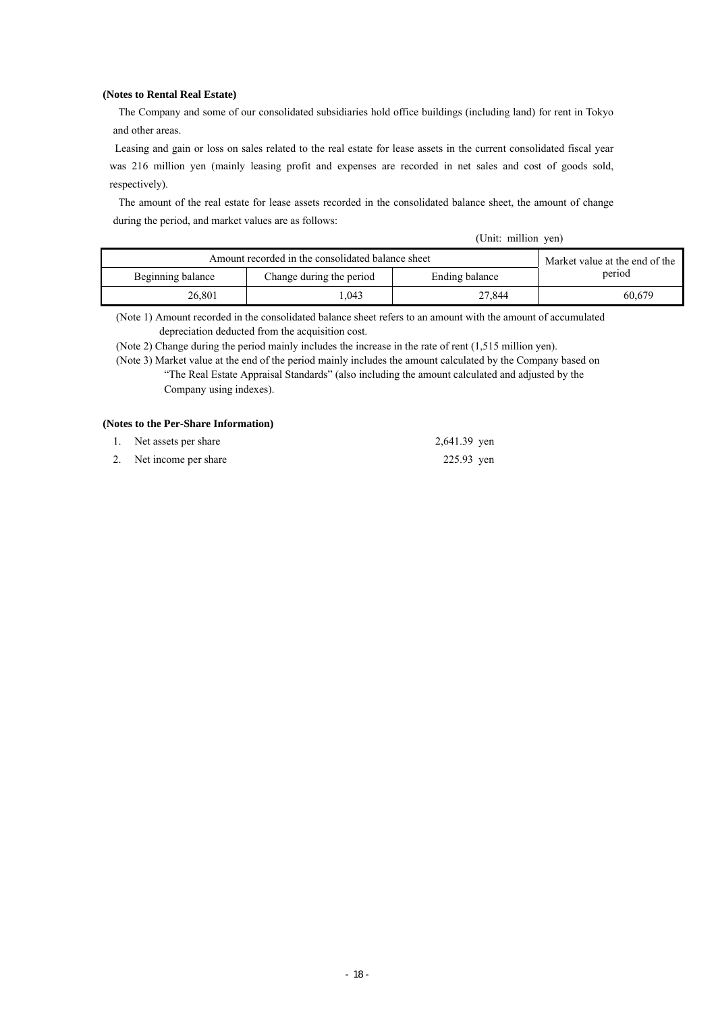#### **(Notes to Rental Real Estate)**

The Company and some of our consolidated subsidiaries hold office buildings (including land) for rent in Tokyo and other areas.

Leasing and gain or loss on sales related to the real estate for lease assets in the current consolidated fiscal year was 216 million yen (mainly leasing profit and expenses are recorded in net sales and cost of goods sold, respectively).

The amount of the real estate for lease assets recorded in the consolidated balance sheet, the amount of change during the period, and market values are as follows:

(Unit: million yen)

| Amount recorded in the consolidated balance sheet | Market value at the end of the |        |        |
|---------------------------------------------------|--------------------------------|--------|--------|
| Beginning balance                                 | period                         |        |        |
| 26.801                                            | .043                           | 27.844 | 60.679 |

(Note 1) Amount recorded in the consolidated balance sheet refers to an amount with the amount of accumulated depreciation deducted from the acquisition cost.

(Note 2) Change during the period mainly includes the increase in the rate of rent (1,515 million yen).

(Note 3) Market value at the end of the period mainly includes the amount calculated by the Company based on "The Real Estate Appraisal Standards" (also including the amount calculated and adjusted by the Company using indexes).

## **(Notes to the Per-Share Information)**

| 1. Net assets per share | 2,641.39 yen |
|-------------------------|--------------|
| 2. Net income per share | 225.93 yen   |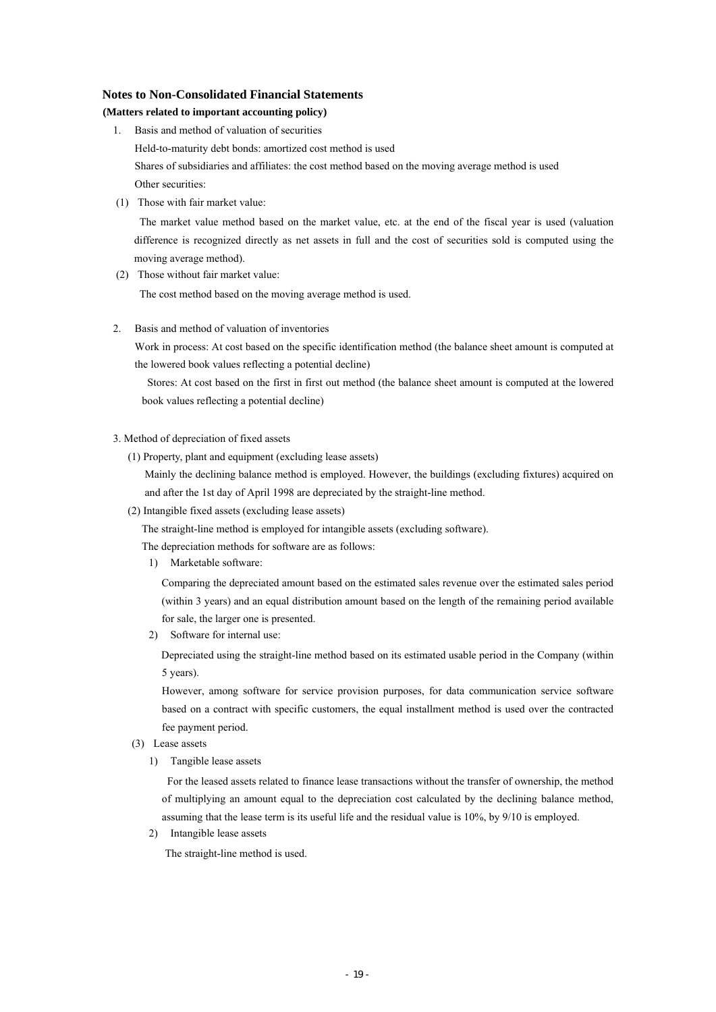#### **Notes to Non-Consolidated Financial Statements**

# **(Matters related to important accounting policy)**

- 1. Basis and method of valuation of securities Held-to-maturity debt bonds: amortized cost method is used Shares of subsidiaries and affiliates: the cost method based on the moving average method is used Other securities:
- (1) Those with fair market value:

The market value method based on the market value, etc. at the end of the fiscal year is used (valuation difference is recognized directly as net assets in full and the cost of securities sold is computed using the moving average method).

(2) Those without fair market value:

The cost method based on the moving average method is used.

2. Basis and method of valuation of inventories

Work in process: At cost based on the specific identification method (the balance sheet amount is computed at the lowered book values reflecting a potential decline)

Stores: At cost based on the first in first out method (the balance sheet amount is computed at the lowered book values reflecting a potential decline)

#### 3. Method of depreciation of fixed assets

(1) Property, plant and equipment (excluding lease assets)

Mainly the declining balance method is employed. However, the buildings (excluding fixtures) acquired on and after the 1st day of April 1998 are depreciated by the straight-line method.

(2) Intangible fixed assets (excluding lease assets)

The straight-line method is employed for intangible assets (excluding software).

The depreciation methods for software are as follows:

1) Marketable software:

Comparing the depreciated amount based on the estimated sales revenue over the estimated sales period (within 3 years) and an equal distribution amount based on the length of the remaining period available for sale, the larger one is presented.

2) Software for internal use:

Depreciated using the straight-line method based on its estimated usable period in the Company (within 5 years).

However, among software for service provision purposes, for data communication service software based on a contract with specific customers, the equal installment method is used over the contracted fee payment period.

- (3) Lease assets
	- 1) Tangible lease assets

For the leased assets related to finance lease transactions without the transfer of ownership, the method of multiplying an amount equal to the depreciation cost calculated by the declining balance method, assuming that the lease term is its useful life and the residual value is 10%, by 9/10 is employed.

2) Intangible lease assets

The straight-line method is used.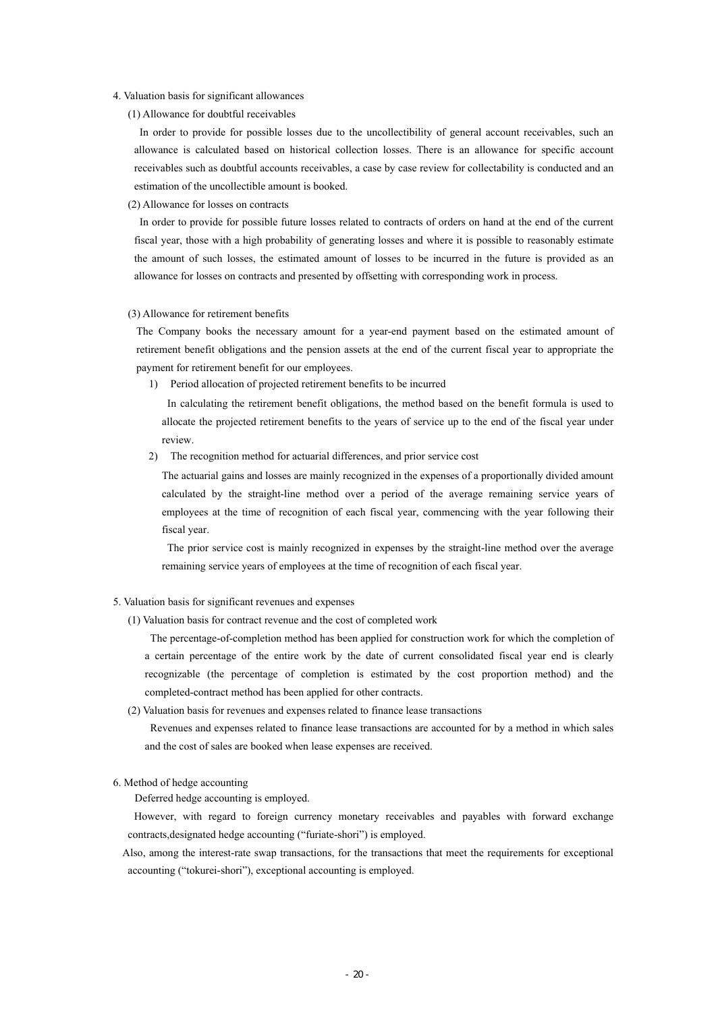- 4. Valuation basis for significant allowances
	- (1) Allowance for doubtful receivables

In order to provide for possible losses due to the uncollectibility of general account receivables, such an allowance is calculated based on historical collection losses. There is an allowance for specific account receivables such as doubtful accounts receivables, a case by case review for collectability is conducted and an estimation of the uncollectible amount is booked.

(2) Allowance for losses on contracts

In order to provide for possible future losses related to contracts of orders on hand at the end of the current fiscal year, those with a high probability of generating losses and where it is possible to reasonably estimate the amount of such losses, the estimated amount of losses to be incurred in the future is provided as an allowance for losses on contracts and presented by offsetting with corresponding work in process.

#### (3) Allowance for retirement benefits

The Company books the necessary amount for a year-end payment based on the estimated amount of retirement benefit obligations and the pension assets at the end of the current fiscal year to appropriate the payment for retirement benefit for our employees.

1) Period allocation of projected retirement benefits to be incurred

In calculating the retirement benefit obligations, the method based on the benefit formula is used to allocate the projected retirement benefits to the years of service up to the end of the fiscal year under review.

2) The recognition method for actuarial differences, and prior service cost

The actuarial gains and losses are mainly recognized in the expenses of a proportionally divided amount calculated by the straight-line method over a period of the average remaining service years of employees at the time of recognition of each fiscal year, commencing with the year following their fiscal year.

The prior service cost is mainly recognized in expenses by the straight-line method over the average remaining service years of employees at the time of recognition of each fiscal year.

#### 5. Valuation basis for significant revenues and expenses

(1) Valuation basis for contract revenue and the cost of completed work

The percentage-of-completion method has been applied for construction work for which the completion of a certain percentage of the entire work by the date of current consolidated fiscal year end is clearly recognizable (the percentage of completion is estimated by the cost proportion method) and the completed-contract method has been applied for other contracts.

(2) Valuation basis for revenues and expenses related to finance lease transactions

Revenues and expenses related to finance lease transactions are accounted for by a method in which sales and the cost of sales are booked when lease expenses are received.

#### 6. Method of hedge accounting

Deferred hedge accounting is employed.

However, with regard to foreign currency monetary receivables and payables with forward exchange contracts,designated hedge accounting ("furiate-shori") is employed.

Also, among the interest-rate swap transactions, for the transactions that meet the requirements for exceptional accounting ("tokurei-shori"), exceptional accounting is employed.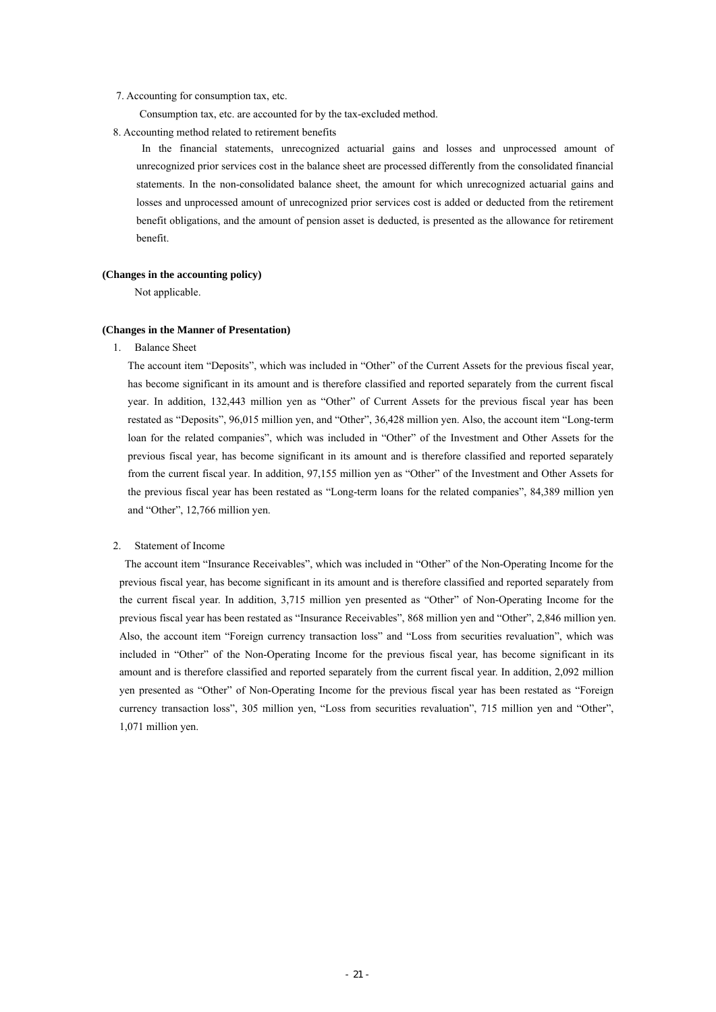#### 7. Accounting for consumption tax, etc.

Consumption tax, etc. are accounted for by the tax-excluded method.

8. Accounting method related to retirement benefits

In the financial statements, unrecognized actuarial gains and losses and unprocessed amount of unrecognized prior services cost in the balance sheet are processed differently from the consolidated financial statements. In the non-consolidated balance sheet, the amount for which unrecognized actuarial gains and losses and unprocessed amount of unrecognized prior services cost is added or deducted from the retirement benefit obligations, and the amount of pension asset is deducted, is presented as the allowance for retirement benefit.

#### **(Changes in the accounting policy)**

Not applicable.

#### **(Changes in the Manner of Presentation)**

1. Balance Sheet

The account item "Deposits", which was included in "Other" of the Current Assets for the previous fiscal year, has become significant in its amount and is therefore classified and reported separately from the current fiscal year. In addition, 132,443 million yen as "Other" of Current Assets for the previous fiscal year has been restated as "Deposits", 96,015 million yen, and "Other", 36,428 million yen. Also, the account item "Long-term loan for the related companies", which was included in "Other" of the Investment and Other Assets for the previous fiscal year, has become significant in its amount and is therefore classified and reported separately from the current fiscal year. In addition, 97,155 million yen as "Other" of the Investment and Other Assets for the previous fiscal year has been restated as "Long-term loans for the related companies", 84,389 million yen and "Other", 12,766 million yen.

#### 2. Statement of Income

The account item "Insurance Receivables", which was included in "Other" of the Non-Operating Income for the previous fiscal year, has become significant in its amount and is therefore classified and reported separately from the current fiscal year. In addition, 3,715 million yen presented as "Other" of Non-Operating Income for the previous fiscal year has been restated as "Insurance Receivables", 868 million yen and "Other", 2,846 million yen. Also, the account item "Foreign currency transaction loss" and "Loss from securities revaluation", which was included in "Other" of the Non-Operating Income for the previous fiscal year, has become significant in its amount and is therefore classified and reported separately from the current fiscal year. In addition, 2,092 million yen presented as "Other" of Non-Operating Income for the previous fiscal year has been restated as "Foreign currency transaction loss", 305 million yen, "Loss from securities revaluation", 715 million yen and "Other", 1,071 million yen.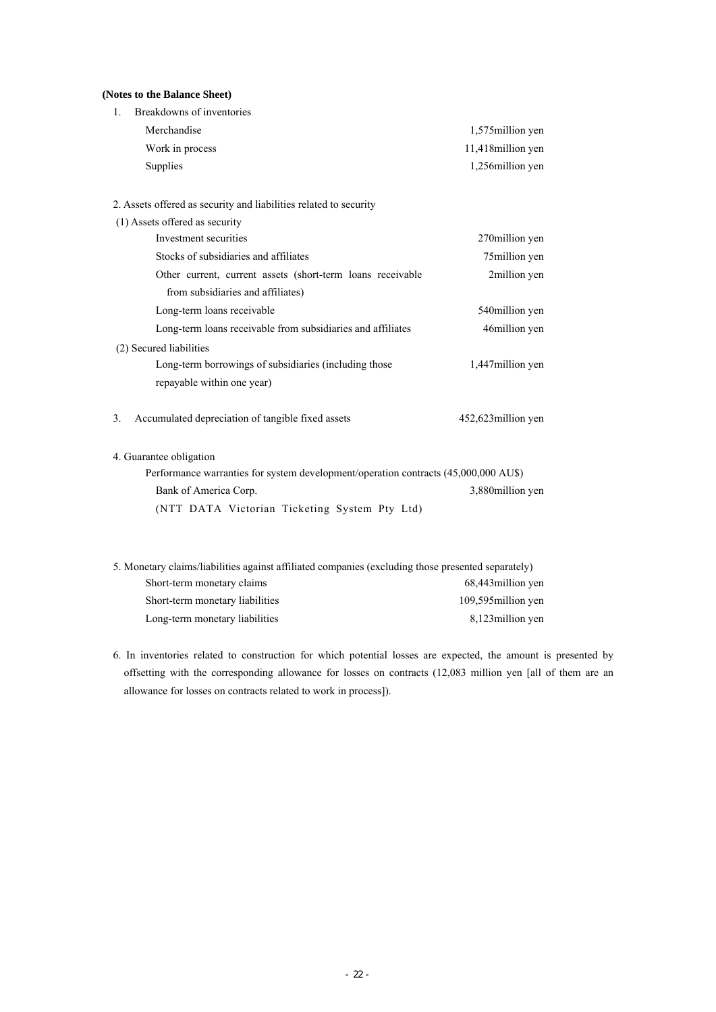## **(Notes to the Balance Sheet)**

| Breakdowns of inventories<br>1.                                                                    |                    |
|----------------------------------------------------------------------------------------------------|--------------------|
| Merchandise                                                                                        | 1,575 million yen  |
| Work in process                                                                                    | 11,418million yen  |
| Supplies                                                                                           | 1,256million yen   |
| 2. Assets offered as security and liabilities related to security                                  |                    |
| (1) Assets offered as security                                                                     |                    |
| Investment securities                                                                              | 270million yen     |
| Stocks of subsidiaries and affiliates                                                              | 75million yen      |
| Other current, current assets (short-term loans receivable                                         | 2million yen       |
| from subsidiaries and affiliates)                                                                  |                    |
| Long-term loans receivable                                                                         | 540million yen     |
| Long-term loans receivable from subsidiaries and affiliates                                        | 46million yen      |
| (2) Secured liabilities                                                                            |                    |
| Long-term borrowings of subsidiaries (including those                                              | 1,447million yen   |
| repayable within one year)                                                                         |                    |
| Accumulated depreciation of tangible fixed assets<br>3.                                            | 452,623million yen |
| 4. Guarantee obligation                                                                            |                    |
| Performance warranties for system development/operation contracts (45,000,000 AU\$)                |                    |
| Bank of America Corp.                                                                              | 3,880million yen   |
| (NTT DATA Victorian Ticketing System Pty Ltd)                                                      |                    |
|                                                                                                    |                    |
| 5. Monetary claims/liabilities against affiliated companies (excluding those presented separately) |                    |
| Short-term monetary claims                                                                         | 68,443million yen  |
| Short-term monetary liabilities                                                                    | 109,595million yen |

6. In inventories related to construction for which potential losses are expected, the amount is presented by offsetting with the corresponding allowance for losses on contracts (12,083 million yen [all of them are an allowance for losses on contracts related to work in process]).

Long-term monetary liabilities 8,123million yen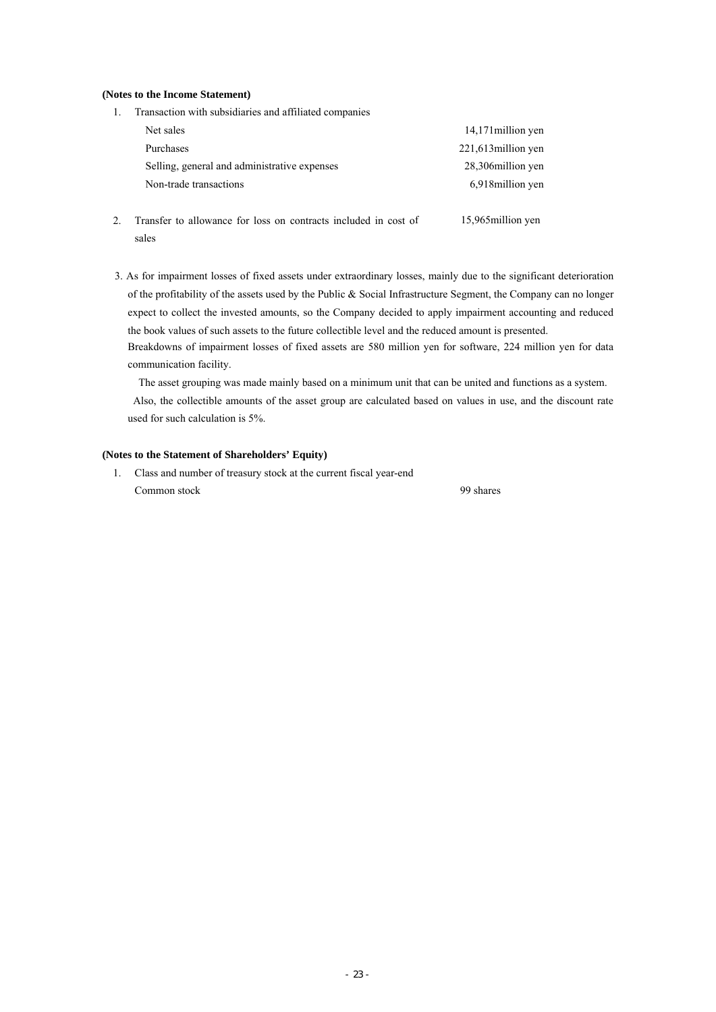#### **(Notes to the Income Statement)**

| Transaction with subsidiaries and affiliated companies |                     |
|--------------------------------------------------------|---------------------|
| Net sales                                              | 14,171 million yen  |
| Purchases                                              | 221,613 million yen |
| Selling, general and administrative expenses           | 28,306 million yen  |
| Non-trade transactions                                 | 6,918 million yen   |
|                                                        |                     |

- 2. Transfer to allowance for loss on contracts included in cost of sales 15,965million yen
- 3. As for impairment losses of fixed assets under extraordinary losses, mainly due to the significant deterioration of the profitability of the assets used by the Public & Social Infrastructure Segment, the Company can no longer expect to collect the invested amounts, so the Company decided to apply impairment accounting and reduced the book values of such assets to the future collectible level and the reduced amount is presented.

Breakdowns of impairment losses of fixed assets are 580 million yen for software, 224 million yen for data communication facility.

The asset grouping was made mainly based on a minimum unit that can be united and functions as a system.

Also, the collectible amounts of the asset group are calculated based on values in use, and the discount rate used for such calculation is 5%.

## **(Notes to the Statement of Shareholders' Equity)**

1. Class and number of treasury stock at the current fiscal year-end Common stock 99 shares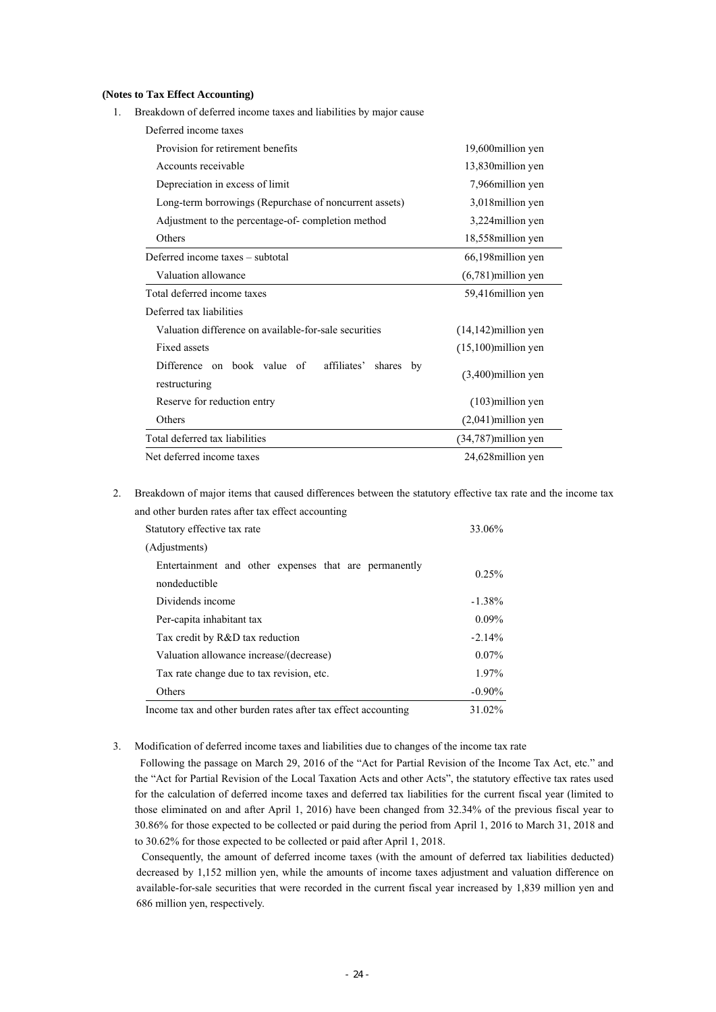#### **(Notes to Tax Effect Accounting)**

1. Breakdown of deferred income taxes and liabilities by major cause

| Deferred income taxes                                                       |                         |
|-----------------------------------------------------------------------------|-------------------------|
| Provision for retirement benefits                                           | 19,600 million yen      |
| Accounts receivable                                                         | 13,830 million yen      |
| Depreciation in excess of limit                                             | 7,966 million yen       |
| Long-term borrowings (Repurchase of noncurrent assets)                      | 3,018 million yen       |
| Adjustment to the percentage-of-completion method                           | 3,224 million yen       |
| Others                                                                      | 18,558million yen       |
| Deferred income taxes – subtotal                                            | 66,198 million yen      |
| Valuation allowance                                                         | $(6,781)$ million yen   |
| Total deferred income taxes                                                 | 59,416 million yen      |
| Deferred tax liabilities                                                    |                         |
| Valuation difference on available-for-sale securities                       | $(14, 142)$ million yen |
| <b>Fixed assets</b>                                                         | $(15,100)$ million yen  |
| Difference on book value of<br>affiliates'<br>shares<br>by<br>restructuring | $(3,400)$ million yen   |
| Reserve for reduction entry                                                 | $(103)$ million yen     |
| Others                                                                      | $(2,041)$ million yen   |
| Total deferred tax liabilities                                              | $(34,787)$ million yen  |
| Net deferred income taxes                                                   | 24,628 million yen      |

2. Breakdown of major items that caused differences between the statutory effective tax rate and the income tax and other burden rates after tax effect accounting

| Statutory effective tax rate                                           | 33.06%    |
|------------------------------------------------------------------------|-----------|
| (Adjustments)                                                          |           |
| Entertainment and other expenses that are permanently<br>nondeductible | 0.25%     |
| Dividends income                                                       | $-1.38\%$ |
| Per-capita inhabitant tax                                              | $0.09\%$  |
| Tax credit by R&D tax reduction                                        | $-2.14%$  |
| Valuation allowance increase/(decrease)                                | $0.07\%$  |
| Tax rate change due to tax revision, etc.                              | 1.97%     |
| Others                                                                 | $-0.90\%$ |
| Income tax and other burden rates after tax effect accounting          | 31.02%    |

## 3. Modification of deferred income taxes and liabilities due to changes of the income tax rate

Following the passage on March 29, 2016 of the "Act for Partial Revision of the Income Tax Act, etc." and the "Act for Partial Revision of the Local Taxation Acts and other Acts", the statutory effective tax rates used for the calculation of deferred income taxes and deferred tax liabilities for the current fiscal year (limited to those eliminated on and after April 1, 2016) have been changed from 32.34% of the previous fiscal year to 30.86% for those expected to be collected or paid during the period from April 1, 2016 to March 31, 2018 and to 30.62% for those expected to be collected or paid after April 1, 2018.

Consequently, the amount of deferred income taxes (with the amount of deferred tax liabilities deducted) decreased by 1,152 million yen, while the amounts of income taxes adjustment and valuation difference on available-for-sale securities that were recorded in the current fiscal year increased by 1,839 million yen and 686 million yen, respectively.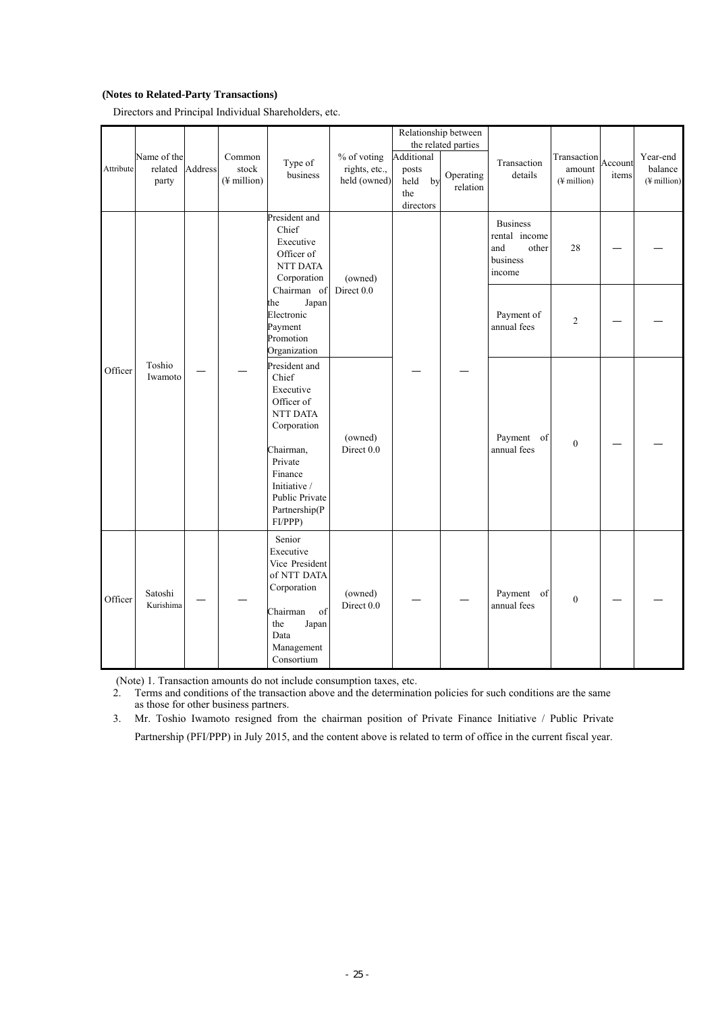# **(Notes to Related-Party Transactions)**

Directors and Principal Individual Shareholders, etc.

|           | Name of the<br>related | Address | Common               | Type of                                                                                                                                                                       | % of voting                   | Additional                              | Relationship between<br>the related parties | Transaction                                                            | Transaction<br>amount   | Account | Year-end                           |
|-----------|------------------------|---------|----------------------|-------------------------------------------------------------------------------------------------------------------------------------------------------------------------------|-------------------------------|-----------------------------------------|---------------------------------------------|------------------------------------------------------------------------|-------------------------|---------|------------------------------------|
| Attribute | party                  |         | stock<br>(¥ million) | business                                                                                                                                                                      | rights, etc.,<br>held (owned) | posts<br>held<br>by<br>the<br>directors | Operating<br>relation                       | details                                                                | $(\frac{1}{2})$ million | items   | balance<br>$(\frac{1}{2})$ million |
|           |                        |         |                      | President and<br>Chief<br>Executive<br>Officer of<br>NTT DATA<br>Corporation                                                                                                  | (owned)                       |                                         |                                             | <b>Business</b><br>rental income<br>and<br>other<br>business<br>income | 28                      |         |                                    |
|           |                        |         |                      | Chairman of<br>the<br>Japan<br>Electronic<br>Payment<br>Promotion<br>Organization                                                                                             | Direct 0.0                    |                                         |                                             | Payment of<br>annual fees                                              | $\overline{2}$          |         |                                    |
| Officer   | Toshio<br>Iwamoto      |         |                      | President and<br>Chief<br>Executive<br>Officer of<br>NTT DATA<br>Corporation<br>Chairman,<br>Private<br>Finance<br>Initiative /<br>Public Private<br>Partnership(P<br>FI/PPP) | (owned)<br>Direct 0.0         |                                         |                                             | Payment of<br>annual fees                                              | $\mathbf{0}$            |         |                                    |
| Officer   | Satoshi<br>Kurishima   |         |                      | Senior<br>Executive<br>Vice President<br>of NTT DATA<br>Corporation<br>Chairman<br>of<br>the<br>Japan<br>Data<br>Management<br>Consortium                                     | (owned)<br>Direct 0.0         |                                         |                                             | Payment of<br>annual fees                                              | $\boldsymbol{0}$        |         |                                    |

(Note) 1. Transaction amounts do not include consumption taxes, etc.<br>2. Terms and conditions of the transaction above and the determinat

2. Terms and conditions of the transaction above and the determination policies for such conditions are the same as those for other business partners.

3. Mr. Toshio Iwamoto resigned from the chairman position of Private Finance Initiative / Public Private Partnership (PFI/PPP) in July 2015, and the content above is related to term of office in the current fiscal year.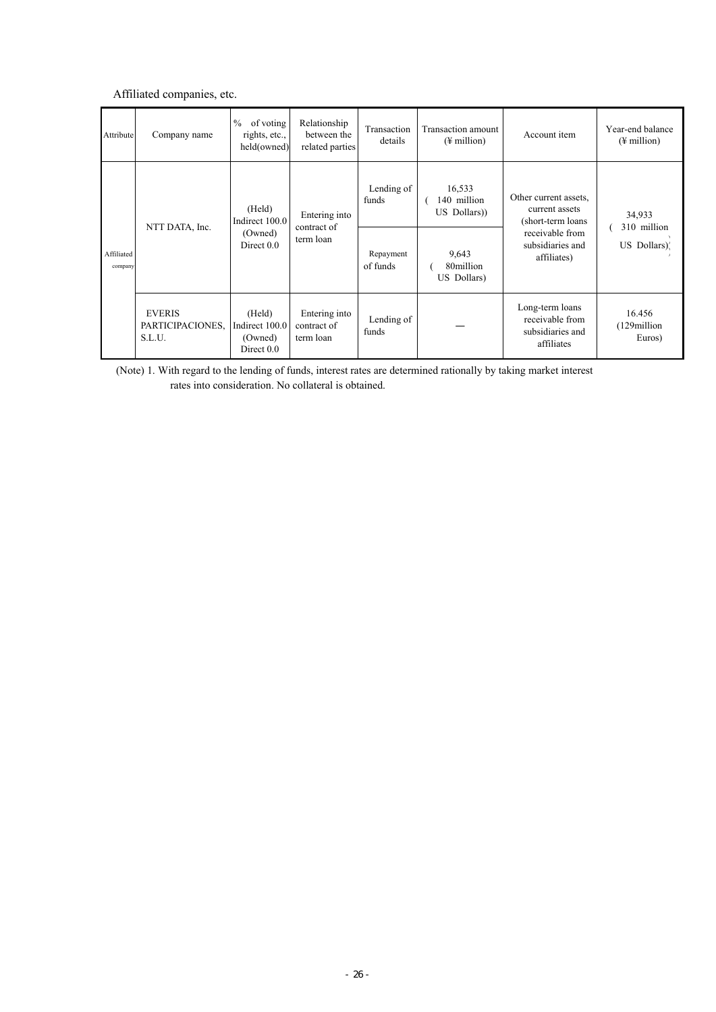# Affiliated companies, etc.

| Attribute             | Company name                                | $\%$<br>of voting<br>rights, etc.,<br>held(owned)   | Relationship<br>between the<br>related parties | Transaction<br>details | Transaction amount<br>$(\frac{1}{2})$ million | Account item                                                         | Year-end balance<br>$(\frac{1}{2})$ million |  |
|-----------------------|---------------------------------------------|-----------------------------------------------------|------------------------------------------------|------------------------|-----------------------------------------------|----------------------------------------------------------------------|---------------------------------------------|--|
| Affiliated<br>company | NTT DATA, Inc.                              | (Held)<br>Indirect 100.0<br>(Owned)<br>Direct $0.0$ | Entering into<br>contract of<br>term loan      | Lending of<br>funds    | 16,533<br>140 million<br>US Dollars))         | Other current assets.<br>current assets<br>(short-term loans)        | 34,933<br>310 million                       |  |
|                       |                                             |                                                     |                                                | Repayment<br>of funds  | 9,643<br>80million<br>US Dollars)             | receivable from<br>subsidiaries and<br>affiliates)                   | US Dollars).                                |  |
|                       | <b>EVERIS</b><br>PARTICIPACIONES,<br>S.L.U. | (Held)<br>Indirect 100.0<br>(Owned)<br>Direct 0.0   | Entering into<br>contract of<br>term loan      | Lending of<br>funds    |                                               | Long-term loans<br>receivable from<br>subsidiaries and<br>affiliates | 16.456<br>(129million<br>Euros)             |  |

(Note) 1. With regard to the lending of funds, interest rates are determined rationally by taking market interest rates into consideration. No collateral is obtained.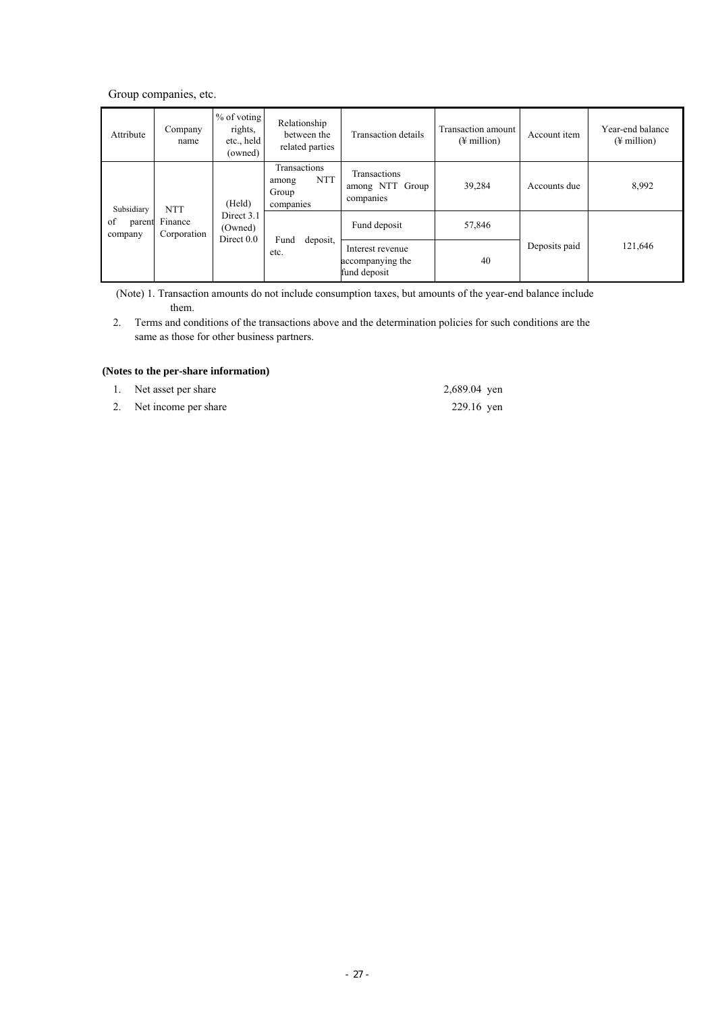Group companies, etc.

| Attribute                          | Company<br>name | $%$ of voting<br>rights,<br>etc., held<br>(owned) | Relationship<br>between the<br>related parties            | Transaction details                                  | Transaction amount<br>$(\frac{1}{2})$ million) | Account item  | Year-end balance<br>$(\frac{1}{2})$ million |  |  |  |  |  |  |  |              |        |  |  |
|------------------------------------|-----------------|---------------------------------------------------|-----------------------------------------------------------|------------------------------------------------------|------------------------------------------------|---------------|---------------------------------------------|--|--|--|--|--|--|--|--------------|--------|--|--|
| Subsidiary                         | <b>NTT</b>      | (Held)                                            | Transactions<br><b>NTT</b><br>among<br>Group<br>companies | Transactions<br>among NTT Group<br>companies         | 39,284                                         | Accounts due  | 8,992                                       |  |  |  |  |  |  |  |              |        |  |  |
| of<br>Finance<br>parent<br>company | Corporation     | Direct 3.1<br>(Owned)<br>Direct $0.0$             |                                                           |                                                      |                                                |               |                                             |  |  |  |  |  |  |  | Fund deposit | 57,846 |  |  |
|                                    |                 |                                                   | deposit,<br>Fund<br>etc.                                  | Interest revenue<br>accompanying the<br>fund deposit | 40                                             | Deposits paid | 121,646                                     |  |  |  |  |  |  |  |              |        |  |  |

(Note) 1. Transaction amounts do not include consumption taxes, but amounts of the year-end balance include them.

2. Terms and conditions of the transactions above and the determination policies for such conditions are the same as those for other business partners.

# **(Notes to the per-share information)**

- 1. Net asset per share 2,689.04 yen
- 2. Net income per share 229.16 yen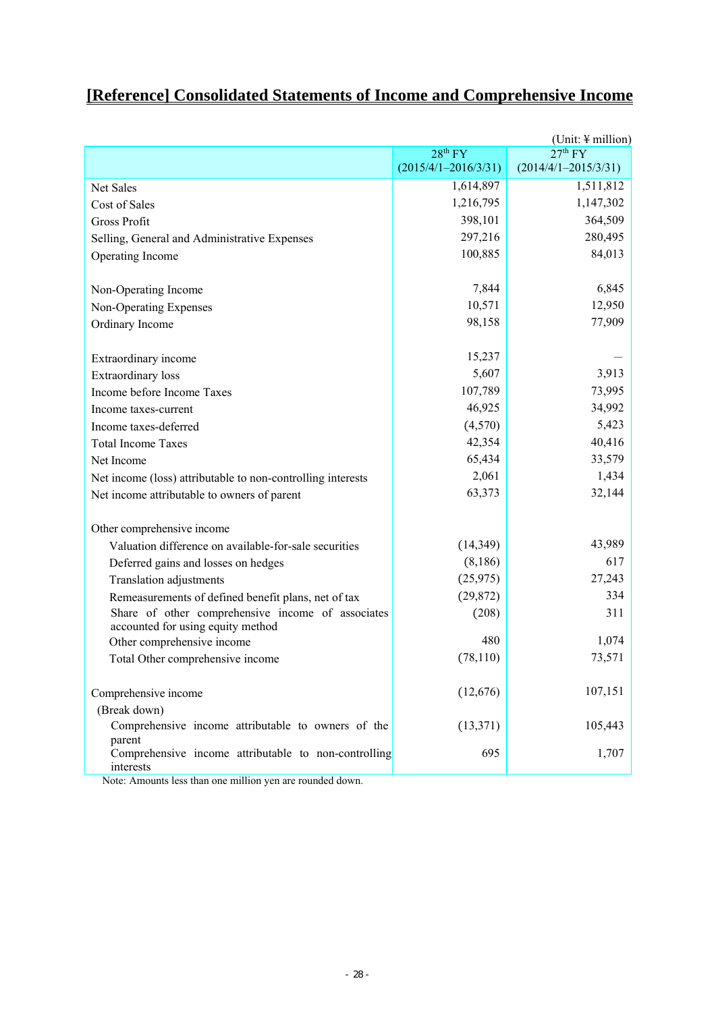# **[Reference] Consolidated Statements of Income and Comprehensive Income**

| (Unit: $\frac{1}{2}$ million)                                  |                          |                          |
|----------------------------------------------------------------|--------------------------|--------------------------|
|                                                                | 28 <sup>th</sup> FY      | 27 <sup>th</sup> FY      |
|                                                                | $(2015/4/1 - 2016/3/31)$ | $(2014/4/1 - 2015/3/31)$ |
| Net Sales                                                      | 1,614,897                | 1,511,812                |
| Cost of Sales                                                  | 1,216,795                | 1,147,302                |
| Gross Profit                                                   | 398,101                  | 364,509                  |
| Selling, General and Administrative Expenses                   | 297,216                  | 280,495                  |
| Operating Income                                               | 100,885                  | 84,013                   |
|                                                                |                          |                          |
| Non-Operating Income                                           | 7,844                    | 6,845                    |
| Non-Operating Expenses                                         | 10,571                   | 12,950                   |
| Ordinary Income                                                | 98,158                   | 77,909                   |
|                                                                |                          |                          |
| Extraordinary income                                           | 15,237                   |                          |
| <b>Extraordinary</b> loss                                      | 5,607                    | 3,913                    |
| Income before Income Taxes                                     | 107,789                  | 73,995                   |
| Income taxes-current                                           | 46,925                   | 34,992                   |
| Income taxes-deferred                                          | (4,570)                  | 5,423                    |
| <b>Total Income Taxes</b>                                      | 42,354                   | 40,416                   |
| Net Income                                                     | 65,434                   | 33,579                   |
| Net income (loss) attributable to non-controlling interests    | 2,061                    | 1,434                    |
| Net income attributable to owners of parent                    | 63,373                   | 32,144                   |
|                                                                |                          |                          |
| Other comprehensive income                                     |                          |                          |
| Valuation difference on available-for-sale securities          | (14,349)                 | 43,989                   |
| Deferred gains and losses on hedges                            | (8,186)                  | 617                      |
| Translation adjustments                                        | (25, 975)                | 27,243                   |
| Remeasurements of defined benefit plans, net of tax            | (29, 872)                | 334                      |
| Share of other comprehensive income of associates              | (208)                    | 311                      |
| accounted for using equity method                              |                          |                          |
| Other comprehensive income                                     | 480                      | 1,074                    |
| Total Other comprehensive income                               | (78, 110)                | 73,571                   |
|                                                                |                          |                          |
| Comprehensive income                                           | (12,676)                 | 107,151                  |
| (Break down)                                                   |                          |                          |
| Comprehensive income attributable to owners of the             | (13, 371)                | 105,443                  |
| parent<br>Comprehensive income attributable to non-controlling | 695                      | 1,707                    |
| interests                                                      |                          |                          |

Note: Amounts less than one million yen are rounded down.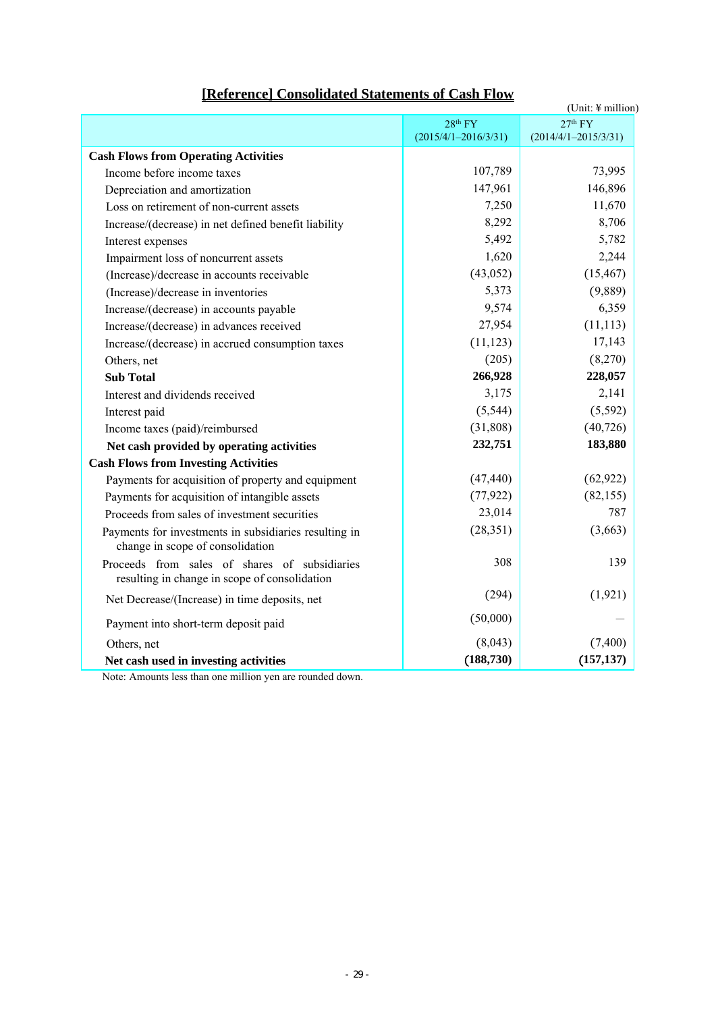| [Reference] Consolidated Statements of Cash Flow |
|--------------------------------------------------|
|--------------------------------------------------|

|                                                                                                |                          | (Unit: $\frac{1}{2}$ million) |
|------------------------------------------------------------------------------------------------|--------------------------|-------------------------------|
|                                                                                                | 28 <sup>th</sup> FY      | 27 <sup>th</sup> FY           |
|                                                                                                | $(2015/4/1 - 2016/3/31)$ | $(2014/4/1 - 2015/3/31)$      |
| <b>Cash Flows from Operating Activities</b>                                                    |                          |                               |
| Income before income taxes                                                                     | 107,789                  | 73,995                        |
| Depreciation and amortization                                                                  | 147,961                  | 146,896                       |
| Loss on retirement of non-current assets                                                       | 7,250                    | 11,670                        |
| Increase/(decrease) in net defined benefit liability                                           | 8,292                    | 8,706                         |
| Interest expenses                                                                              | 5,492                    | 5,782                         |
| Impairment loss of noncurrent assets                                                           | 1,620                    | 2,244                         |
| (Increase)/decrease in accounts receivable                                                     | (43, 052)                | (15, 467)                     |
| (Increase)/decrease in inventories                                                             | 5,373                    | (9,889)                       |
| Increase/(decrease) in accounts payable                                                        | 9,574                    | 6,359                         |
| Increase/(decrease) in advances received                                                       | 27,954                   | (11, 113)                     |
| Increase/(decrease) in accrued consumption taxes                                               | (11, 123)                | 17,143                        |
| Others, net                                                                                    | (205)                    | (8,270)                       |
| <b>Sub Total</b>                                                                               | 266,928                  | 228,057                       |
| Interest and dividends received                                                                | 3,175                    | 2,141                         |
| Interest paid                                                                                  | (5, 544)                 | (5, 592)                      |
| Income taxes (paid)/reimbursed                                                                 | (31,808)                 | (40, 726)                     |
| Net cash provided by operating activities                                                      | 232,751                  | 183,880                       |
| <b>Cash Flows from Investing Activities</b>                                                    |                          |                               |
| Payments for acquisition of property and equipment                                             | (47, 440)                | (62, 922)                     |
| Payments for acquisition of intangible assets                                                  | (77, 922)                | (82, 155)                     |
| Proceeds from sales of investment securities                                                   | 23,014                   | 787                           |
| Payments for investments in subsidiaries resulting in<br>change in scope of consolidation      | (28, 351)                | (3,663)                       |
| Proceeds from sales of shares of subsidiaries<br>resulting in change in scope of consolidation | 308                      | 139                           |
| Net Decrease/(Increase) in time deposits, net                                                  | (294)                    | (1, 921)                      |
| Payment into short-term deposit paid                                                           | (50,000)                 |                               |
| Others, net                                                                                    | (8,043)                  | (7, 400)                      |
| Net cash used in investing activities                                                          | (188, 730)               | (157, 137)                    |
|                                                                                                |                          |                               |

Note: Amounts less than one million yen are rounded down.